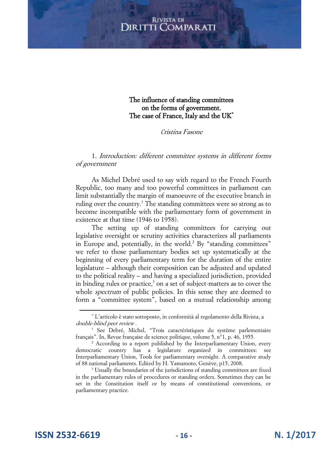The influence of standing committees on the forms of government. The case of France, Italy and the UK<sup>\*</sup>

Cristina Fasone

## 1. Introduction: different committee systems in different forms of government

As Michel Debré used to say with regard to the French Fourth Republic, too many and too powerful committees in parliament can limit substantially the margin of manoeuvre of the executive branch in ruling over the country.<sup>1</sup> The standing committees were so strong as to become incompatible with the parliamentary form of government in existence at that time (1946 to 1958).

The setting up of standing committees for carrying out legislative oversight or scrutiny activities characterizes all parliaments in Europe and, potentially, in the world.<sup>2</sup> By "standing committees" we refer to those parliamentary bodies set up systematically at the beginning of every parliamentary term for the duration of the entire legislature – although their composition can be adjusted and updated to the political reality – and having a specialized jurisdiction, provided in binding rules or practice, $3$  on a set of subject-matters as to cover the whole *spectrum* of public policies. In this sense they are deemed to form a "committee system", based on a mutual relationship among

<sup>\*</sup> L'articolo è stato sottoposto, in conformità al regolamento della Rivista, a double-blind peer review .

<sup>&</sup>lt;sup>1</sup> See Debré, Michel, "Trois caractéristiques du système parlementaire français". In, Revue française de science politique, volume 5, n°1, p. 46, 1955.

<sup>&</sup>lt;sup>2</sup> According to a report published by the Interparliamentary Union, every democratic country has a legislature organized in committees: see Interparliamentary Union, Tools for parliamentary oversight. A comparative study of 88 national parliaments. Edited by H. Yamamoto, Genève, p15, 2008.

<sup>&</sup>lt;sup>3</sup> Usually the boundaries of the jurisdictions of standing committees are fixed in the parliamentary rules of procedures or standing orders. Sometimes they can be set in the Constitution itself or by means of constitutional conventions, or parliamentary practice.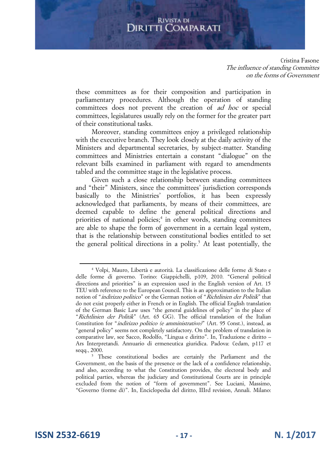Cristina Fasone The influence of standing Committes on the forms of Government

these committees as for their composition and participation in parliamentary procedures. Although the operation of standing committees does not prevent the creation of ad hoc or special committees, legislatures usually rely on the former for the greater part of their constitutional tasks.

Moreover, standing committees enjoy a privileged relationship with the executive branch. They look closely at the daily activity of the Ministers and departmental secretaries, by subject-matter. Standing committees and Ministries entertain a constant "dialogue" on the relevant bills examined in parliament with regard to amendments tabled and the committee stage in the legislative process.

Given such a close relationship between standing committees and "their" Ministers, since the committees' jurisdiction corresponds basically to the Ministries' portfolios, it has been expressly acknowledged that parliaments, by means of their committees, are deemed capable to define the general political directions and priorities of national policies;<sup>4</sup> in other words, standing committees are able to shape the form of government in a certain legal system, that is the relationship between constitutional bodies entitled to set the general political directions in a polity.<sup>5</sup> At least potentially, the

**ISSN 2532-6619 - 17 - N. 1/2017**

<sup>4</sup> Volpi, Mauro, Libertà e autorità. La classificazione delle forme di Stato e delle forme di governo. Torino: Giappichelli, p109, 2010. "General political directions and priorities" is an expression used in the English version of Art. 15 TEU with reference to the European Council. This is an approximation to the Italian notion of "indirizzo politico" or the German notion of "Richtlinien der Politik" that do not exist properly either in French or in English. The official English translation of the German Basic Law uses "the general guidelines of policy" in the place of "Richtlinien der Politik" (Art. 65 GG). The official translation of the Italian Constitution for "indirizzo politico (e amministrativo)" (Art. 95 Const.), instead, as "general policy" seems not completely satisfactory. On the problem of translation in comparative law, see Sacco, Rodolfo, "Lingua e diritto". In, Traduzione e diritto – Ars Interpretandi. Annuario di ermeneutica giuridica. Padova: Cedam, p117 et seqq., 2000.

<sup>5</sup> These constitutional bodies are certainly the Parliament and the Government, on the basis of the presence or the lack of a confidence relationship, and also, according to what the Constitution provides, the electoral body and political parties, whereas the judiciary and Constitutional Courts are in principle excluded from the notion of "form of government". See Luciani, Massimo, "Governo (forme di)". In, Enciclopedia del diritto, IIIrd revision, Annali. Milano: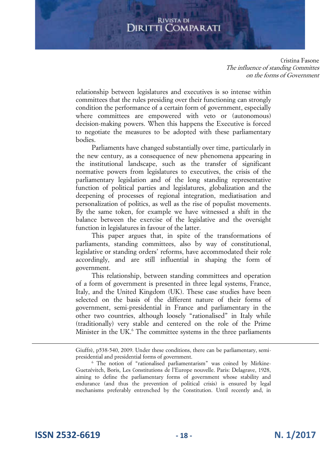Cristina Fasone The influence of standing Committes on the forms of Government

relationship between legislatures and executives is so intense within committees that the rules presiding over their functioning can strongly condition the performance of a certain form of government, especially where committees are empowered with veto or (autonomous) decision-making powers. When this happens the Executive is forced to negotiate the measures to be adopted with these parliamentary bodies.

Parliaments have changed substantially over time, particularly in the new century, as a consequence of new phenomena appearing in the institutional landscape, such as the transfer of significant normative powers from legislatures to executives, the crisis of the parliamentary legislation and of the long standing representative function of political parties and legislatures, globalization and the deepening of processes of regional integration, mediatisation and personalization of politics, as well as the rise of populist movements. By the same token, for example we have witnessed a shift in the balance between the exercise of the legislative and the oversight function in legislatures in favour of the latter.

This paper argues that, in spite of the transformations of parliaments, standing committees, also by way of constitutional, legislative or standing orders' reforms, have accommodated their role accordingly, and are still influential in shaping the form of government.

This relationship, between standing committees and operation of a form of government is presented in three legal systems, France, Italy, and the United Kingdom (UK). These case studies have been selected on the basis of the different nature of their forms of government, semi-presidential in France and parliamentary in the other two countries, although loosely "rationalised" in Italy while (traditionally) very stable and centered on the role of the Prime Minister in the UK.<sup>6</sup> The committee systems in the three parliaments

**ISSN 2532-6619 - 18 - N. 1/2017**

 $\overline{a}$ 

Giuffrè, p538-540, 2009. Under these conditions, there can be parliamentary, semipresidential and presidential forms of government.

<sup>6</sup> The notion of "rationalised parliamentarism" was coined by Mirkine-Guetzévitch, Boris, Les Constitutions de l'Europe nouvelle. Paris: Delagrave, 1928, aiming to define the parliamentary forms of government whose stability and endurance (and thus the prevention of political crisis) is ensured by legal mechanisms preferably entrenched by the Constitution. Until recently and, in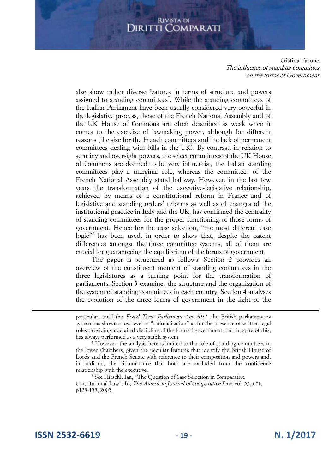Cristina Fasone The influence of standing Committes on the forms of Government

also show rather diverse features in terms of structure and powers assigned to standing committees<sup>7</sup>. While the standing committees of the Italian Parliament have been usually considered very powerful in the legislative process, those of the French National Assembly and of the UK House of Commons are often described as weak when it comes to the exercise of lawmaking power, although for different reasons (the size for the French committees and the lack of permanent committees dealing with bills in the UK). By contrast, in relation to scrutiny and oversight powers, the select committees of the UK House of Commons are deemed to be very influential, the Italian standing committees play a marginal role, whereas the committees of the French National Assembly stand halfway. However, in the last few years the transformation of the executive-legislative relationship, achieved by means of a constitutional reform in France and of legislative and standing orders' reforms as well as of changes of the institutional practice in Italy and the UK, has confirmed the centrality of standing committees for the proper functioning of those forms of government. Hence for the case selection, "the most different case logic"<sup>8</sup> has been used, in order to show that, despite the patent differences amongst the three committee systems, all of them are crucial for guaranteeing the equilibrium of the forms of government.

The paper is structured as follows: Section 2 provides an overview of the constituent moment of standing committees in the three legislatures as a turning point for the transformation of parliaments; Section 3 examines the structure and the organisation of the system of standing committees in each country; Section 4 analyses the evolution of the three forms of government in the light of the

particular, until the Fixed Term Parliament Act 2011, the British parliamentary system has shown a low level of "rationalization" as for the presence of written legal rules providing a detailed discipline of the form of government, but, in spite of this, has always performed as a very stable system.

<sup>7</sup> However, the analysis here is limited to the role of standing committees in the lower Chambers, given the peculiar features that identify the British House of Lords and the French Senate with reference to their composition and powers and, in addition, the circumstance that both are excluded from the confidence relationship with the executive.

<sup>8</sup> See Hirschl, Ian, "The Question of Case Selection in Comparative Constitutional Law". In, The American Journal of Comparative Law, vol. 53, n°1, p125-155, 2005.

**ISSN 2532-6619 - 19 - N. 1/2017**

 $\overline{a}$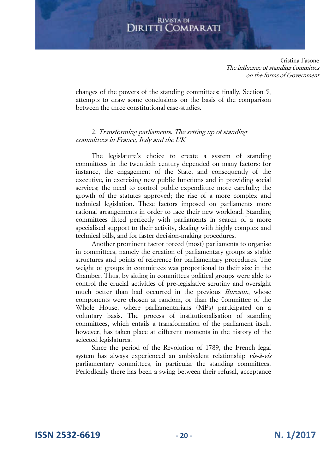Cristina Fasone The influence of standing Committes on the forms of Government

changes of the powers of the standing committees; finally, Section 5, attempts to draw some conclusions on the basis of the comparison between the three constitutional case-studies.

## 2. Transforming parliaments. The setting up of standing committees in France, Italy and the UK

The legislature's choice to create a system of standing committees in the twentieth century depended on many factors: for instance, the engagement of the State, and consequently of the executive, in exercising new public functions and in providing social services; the need to control public expenditure more carefully; the growth of the statutes approved; the rise of a more complex and technical legislation. These factors imposed on parliaments more rational arrangements in order to face their new workload. Standing committees fitted perfectly with parliaments in search of a more specialised support to their activity, dealing with highly complex and technical bills, and for faster decision-making procedures.

Another prominent factor forced (most) parliaments to organise in committees, namely the creation of parliamentary groups as stable structures and points of reference for parliamentary procedures. The weight of groups in committees was proportional to their size in the Chamber. Thus, by sitting in committees political groups were able to control the crucial activities of pre-legislative scrutiny and oversight much better than had occurred in the previous *Bureaux*, whose components were chosen at random, or than the Committee of the Whole House, where parliamentarians (MPs) participated on a voluntary basis. The process of institutionalisation of standing committees, which entails a transformation of the parliament itself, however, has taken place at different moments in the history of the selected legislatures.

Since the period of the Revolution of 1789, the French legal system has always experienced an ambivalent relationship vis-à-vis parliamentary committees, in particular the standing committees. Periodically there has been a swing between their refusal, acceptance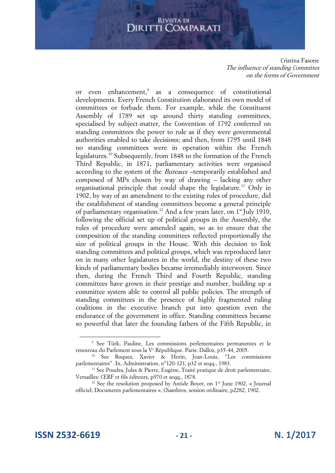Cristina Fasone The influence of standing Committes on the forms of Government

or even enhancement,<sup>9</sup> as a consequence of constitutional developments. Every French Constitution elaborated its own model of committees or forbade them. For example, while the Constituent Assembly of 1789 set up around thirty standing committees, specialised by subject-matter, the Convention of 1792 conferred on standing committees the power to rule as if they were governmental authorities enabled to take decisions; and then, from 1795 until 1848 no standing committees were in operation within the French legislatures.<sup>10</sup> Subsequently, from 1848 to the formation of the French Third Republic, in 1871, parliamentary activities were organised according to the system of the Bureaux –temporarily established and composed of MPs chosen by way of drawing – lacking any other organisational principle that could shape the legislature.<sup>11</sup> Only in 1902, by way of an amendment to the existing rules of procedure, did the establishment of standing committees become a general principle of parliamentary organisation.<sup>12</sup> And a few years later, on  $1<sup>st</sup>$  July 1910, following the official set up of political groups in the Assembly, the rules of procedure were amended again, so as to ensure that the composition of the standing committees reflected proportionally the size of political groups in the House. With this decision to link standing committees and political groups, which was reproduced later on in many other legislatures in the world, the destiny of these two kinds of parliamentary bodies became irremediably interwoven. Since then, during the French Third and Fourth Republic, standing committees have grown in their prestige and number, building up a committee system able to control all public policies. The strength of standing committees in the presence of highly fragmented ruling coalitions in the executive branch put into question even the endurance of the government in office. Standing committees became so powerful that later the founding fathers of the Fifth Republic, in

<sup>9</sup> See Türk, Pauline, Les commissions perlementaires permanentes et le renouvau du Parlement sous la V<sup>e</sup> République. Paris: Dalloz, p35-44, 2005.

<sup>10</sup> See Roques, Xavier & Herin, Jean-Louis, "Les commissions parlementaires". In, Administration, n°120-121, p32 et seqq., 1983.

<sup>&</sup>lt;sup>11</sup> See Poudra, Jules & Pierre, Eugène, Traité pratique de droit parlementaire, Versailles: CERF et fils éditeurs, p970 et seqq., 1878.

<sup>&</sup>lt;sup>12</sup> See the resolution proposed by Antide Boyer, on  $1<sup>st</sup>$  June 1902, « Journal officiel, Documents parlementaires », Chambres, session ordinaire, p2282, 1902.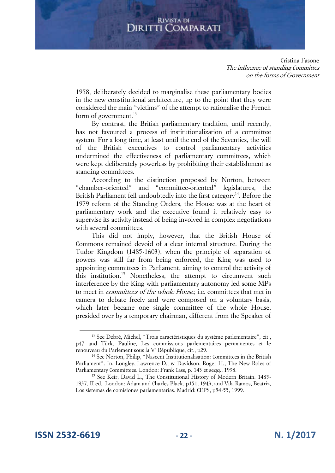Cristina Fasone The influence of standing Committes on the forms of Government

1958, deliberately decided to marginalise these parliamentary bodies in the new constitutional architecture, up to the point that they were considered the main "victims" of the attempt to rationalise the French form of government.<sup>13</sup>

By contrast, the British parliamentary tradition, until recently, has not favoured a process of institutionalization of a committee system. For a long time, at least until the end of the Seventies, the will of the British executives to control parliamentary activities undermined the effectiveness of parliamentary committees, which were kept deliberately powerless by prohibiting their establishment as standing committees.

According to the distinction proposed by Norton, between "chamber-oriented" and "committee-oriented" legislatures, the British Parliament fell undoubtedly into the first category<sup>14</sup>. Before the 1979 reform of the Standing Orders, the House was at the heart of parliamentary work and the executive found it relatively easy to supervise its activity instead of being involved in complex negotiations with several committees.

This did not imply, however, that the British House of Commons remained devoid of a clear internal structure. During the Tudor Kingdom (1485-1603), when the principle of separation of powers was still far from being enforced, the King was used to appointing committees in Parliament, aiming to control the activity of this institution.<sup>15</sup> Nonetheless, the attempt to circumvent such interference by the King with parliamentary autonomy led some MPs to meet in committees of the whole House, i.e. committees that met in camera to debate freely and were composed on a voluntary basis, which later became one single committee of the whole House, presided over by a temporary chairman, different from the Speaker of

<sup>&</sup>lt;sup>13</sup> See Debré, Michel, "Trois caractéristiques du système parlementaire", cit., p47 and Türk, Pauline, Les commissions parlementaires permanentes et le renouveau du Parlement sous la V<sup>e</sup> République, cit., p29.

<sup>&</sup>lt;sup>14</sup> See Norton, Philip, "Nascent Institutionalisation: Committees in the British Parliament". In, Longley, Lawrence D., & Davidson, Roger H., The New Roles of Parliamentary Committees. London: Frank Cass, p. 143 et seqq., 1998.

<sup>&</sup>lt;sup>15</sup> See Keir, David L., The Constitutional History of Modern Britain. 1485-1937, II ed.. London: Adam and Charles Black, p151, 1943, and Vila Ramos, Beatriz, Los sistemas de comisiones parlamentarias. Madrid: CEPS, p54-55, 1999.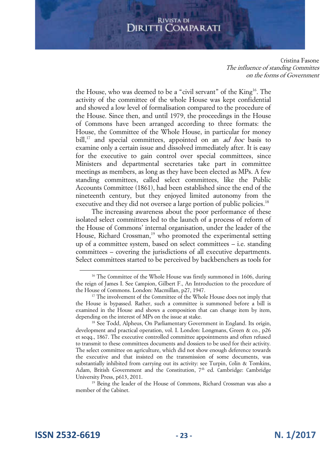Cristina Fasone The influence of standing Committes on the forms of Government

the House, who was deemed to be a "civil servant" of the King<sup>16</sup>. The activity of the committee of the whole House was kept confidential and showed a low level of formalisation compared to the procedure of the House. Since then, and until 1979, the proceedings in the House of Commons have been arranged according to three formats: the House, the Committee of the Whole House, in particular for money bill,<sup>17</sup> and special committees, appointed on an *ad hoc* basis to examine only a certain issue and dissolved immediately after. It is easy for the executive to gain control over special committees, since Ministers and departmental secretaries take part in committee meetings as members, as long as they have been elected as MPs. A few standing committees, called select committees, like the Public Accounts Committee (1861), had been established since the end of the nineteenth century, but they enjoyed limited autonomy from the executive and they did not oversee a large portion of public policies.<sup>18</sup>

The increasing awareness about the poor performance of these isolated select committees led to the launch of a process of reform of the House of Commons' internal organisation, under the leader of the House, Richard Crossman,<sup>19</sup> who promoted the experimental setting up of a committee system, based on select committees – i.e. standing committees – covering the jurisdictions of all executive departments. Select committees started to be perceived by backbenchers as tools for

**ISSN 2532-6619 - 23 - N. 1/2017**

<sup>&</sup>lt;sup>16</sup> The Committee of the Whole House was firstly summoned in 1606, during the reign of James I. See Campion, Gilbert F., An Introduction to the procedure of the House of Commons. London: Macmillan, p27, 1947.

<sup>&</sup>lt;sup>17</sup> The involvement of the Committee of the Whole House does not imply that the House is bypassed. Rather, such a committee is summoned before a bill is examined in the House and shows a composition that can change item by item, depending on the interest of MPs on the issue at stake.

<sup>&</sup>lt;sup>18</sup> See Todd, Alpheus, On Parliamentary Government in England. Its origin, development and practical operation, vol. I. London: Longmans, Green & co., p26 et seqq., 1867. The executive controlled committee appointments and often refused to transmit to these committees documents and dossiers to be used for their activity. The select committee on agriculture, which did not show enough deference towards the executive and that insisted on the transmission of some documents, was substantially inhibited from carrying out its activity: see Turpin, Colin & Tomkins, Adam, British Government and the Constitution, 7<sup>th</sup> ed. Cambridge: Cambridge University Press, p613, 2011.

<sup>&</sup>lt;sup>19</sup> Being the leader of the House of Commons, Richard Crossman was also a member of the Cabinet.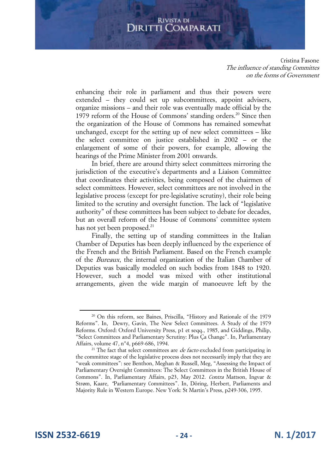Cristina Fasone The influence of standing Committes on the forms of Government

enhancing their role in parliament and thus their powers were extended – they could set up subcommittees, appoint advisers, organize missions – and their role was eventually made official by the 1979 reform of the House of Commons' standing orders.<sup>20</sup> Since then the organization of the House of Commons has remained somewhat unchanged, except for the setting up of new select committees – like the select committee on justice established in 2002 – or the enlargement of some of their powers, for example, allowing the hearings of the Prime Minister from 2001 onwards.

In brief, there are around thirty select committees mirroring the jurisdiction of the executive's departments and a Liaison Committee that coordinates their activities, being composed of the chairmen of select committees. However, select committees are not involved in the legislative process (except for pre-legislative scrutiny), their role being limited to the scrutiny and oversight function. The lack of "legislative authority" of these committees has been subject to debate for decades, but an overall reform of the House of Commons' committee system has not yet been proposed.<sup>21</sup>

Finally, the setting up of standing committees in the Italian Chamber of Deputies has been deeply influenced by the experience of the French and the British Parliament. Based on the French example of the Bureaux, the internal organization of the Italian Chamber of Deputies was basically modeled on such bodies from 1848 to 1920. However, such a model was mixed with other institutional arrangements, given the wide margin of manoeuvre left by the

<sup>20</sup> On this reform, see Baines, Priscilla, "History and Rationale of the 1979 Reforms". In, Dewry, Gavin, The New Select Committees. A Study of the 1979 Reforms. Oxford: Oxford University Press, p1 et seqq., 1985, and Giddings, Philip, "Select Committees and Parliamentary Scrutiny: Plus Ça Change". In, Parliamentary Affairs, volume 47, n°4, p669-686, 1994.

<sup>&</sup>lt;sup>21</sup> The fact that select committees are *de facto* excluded from participating in the committee stage of the legislative process does not necessarily imply that they are "weak committees": see Benthon, Meghan & Russell, Meg, "Assessing the Impact of Parliamentary Oversight Committees: The Select Committees in the British House of Commons". In, Parliamentary Affairs, p23, May 2012. Contra Mattson, Ingvar & Strøm, Kaare, "Parliamentary Committees". In, Döring, Herbert, Parliaments and Majority Rule in Western Europe. New York: St Martin's Press, p249-306, 1995.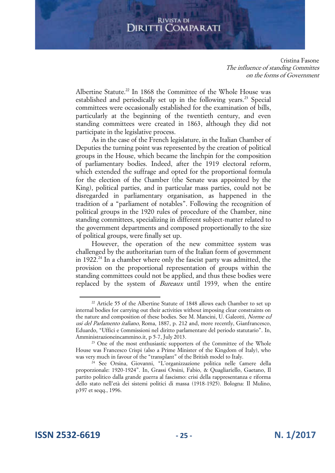Cristina Fasone The influence of standing Committes on the forms of Government

Albertine Statute.<sup>22</sup> In 1868 the Committee of the Whole House was established and periodically set up in the following years.<sup>23</sup> Special committees were occasionally established for the examination of bills, particularly at the beginning of the twentieth century, and even standing committees were created in 1863, although they did not participate in the legislative process.

As in the case of the French legislature, in the Italian Chamber of Deputies the turning point was represented by the creation of political groups in the House, which became the linchpin for the composition of parliamentary bodies. Indeed, after the 1919 electoral reform, which extended the suffrage and opted for the proportional formula for the election of the Chamber (the Senate was appointed by the King), political parties, and in particular mass parties, could not be disregarded in parliamentary organisation, as happened in the tradition of a "parliament of notables". Following the recognition of political groups in the 1920 rules of procedure of the Chamber, nine standing committees, specializing in different subject-matter related to the government departments and composed proportionally to the size of political groups, were finally set up.

However, the operation of the new committee system was challenged by the authoritarian turn of the Italian form of government in 1922.<sup>24</sup> In a chamber where only the fascist party was admitted, the provision on the proportional representation of groups within the standing committees could not be applied, and thus these bodies were replaced by the system of Bureaux until 1939, when the entire

**ISSN 2532-6619 - 25 - N. 1/2017**

<sup>&</sup>lt;sup>22</sup> Article 55 of the Albertine Statute of 1848 allows each Chamber to set up internal bodies for carrying out their activities without imposing clear constraints on the nature and composition of these bodies. See M. Mancini, U. Galeotti, Norme ed usi del Parlamento italiano, Roma, 1887, p. 212 and, more recently, Gianfrancesco, Eduardo, "Uffici e Commissioni nel diritto parlamentare del periodo statutario". In, Amministrazioneincammino.it, p 5-7, July 2013.

<sup>&</sup>lt;sup>23</sup> One of the most enthusiastic supporters of the Committee of the Whole House was Francesco Crispi (also a Prime Minister of the Kingdom of Italy), who was very much in favour of the "transplant" of the British model to Italy.

<sup>24</sup> See Orsina, Giovanni, "L'organizzazione politica nelle Camere della proporzionale: 1920-1924". In, Grassi Orsini, Fabio, & Quagliariello, Gaetano, Il partito politico dalla grande guerra al fascismo: crisi della rappresentanza e riforma dello stato nell'età dei sistemi politici di massa (1918-1925). Bologna: Il Mulino, p397 et seqq., 1996.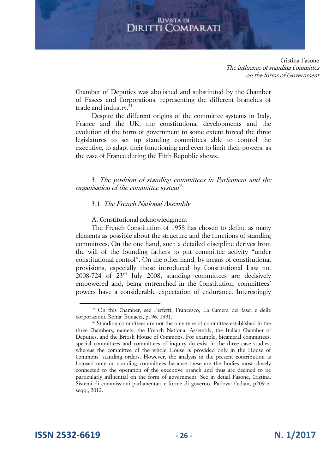Cristina Fasone The influence of standing Committes on the forms of Government

Chamber of Deputies was abolished and substituted by the Chamber of Fasces and Corporations, representing the different branches of trade and industry.<sup>25</sup>

Despite the different origins of the committee systems in Italy, France and the UK, the constitutional developments and the evolution of the form of government to some extent forced the three legislatures to set up standing committees able to control the executive, to adapt their functioning and even to limit their powers, as the case of France during the Fifth Republic shows.

3. The position of standing committees in Parliament and the organisation of the committee system<sup>26</sup>

## 3.1. The French National Assembly

A. Constitutional acknowledgment

The French Constitution of 1958 has chosen to define as many elements as possible about the structure and the functions of standing committees. On the one hand, such a detailed discipline derives from the will of the founding fathers to put committee activity "under constitutional control". On the other hand, by means of constitutional provisions, especially those introduced by Constitutional Law no. 2008-724 of 23rd July 2008, standing committees are decisively empowered and, being entrenched in the Constitution, committees' powers have a considerable expectation of endurance. Interestingly

**ISSN 2532-6619 - 26 - N. 1/2017**

<sup>25</sup> On this Chamber, see Perfetti, Francesco, La Camera dei fasci e delle corporazioni. Roma: Bonacci, p196, 1991.

<sup>&</sup>lt;sup>26</sup> Standing committees are not the only type of committee established in the three Chambers, namely, the French National Assembly, the Italian Chamber of Deputies, and the British House of Commons. For example, bicameral committees, special committees and committees of inquiry do exist in the three case studies, whereas the committee of the whole House is provided only in the House of Commons' standing orders. However, the analysis in the present contribution is focused only on standing committees because these are the bodies most closely connected to the operation of the executive branch and thus are deemed to be particularly influential on the form of government. See in detail Fasone, Cristina, Sistemi di commissioni parlamentari e forme di governo. Padova: Cedam, p209 et seqq., 2012.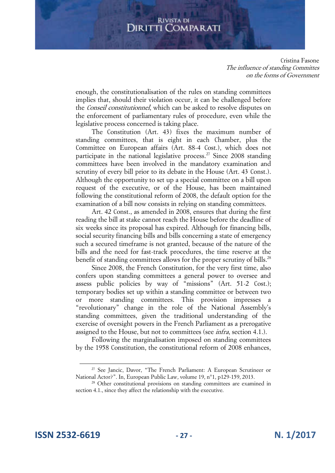Cristina Fasone The influence of standing Committes on the forms of Government

enough, the constitutionalisation of the rules on standing committees implies that, should their violation occur, it can be challenged before the Conseil constitutionnel, which can be asked to resolve disputes on the enforcement of parliamentary rules of procedure, even while the legislative process concerned is taking place.

The Constitution (Art. 43) fixes the maximum number of standing committees, that is eight in each Chamber, plus the Committee on European affairs (Art. 88-4 Cost.), which does not participate in the national legislative process.<sup>27</sup> Since 2008 standing committees have been involved in the mandatory examination and scrutiny of every bill prior to its debate in the House (Art. 43 Const.). Although the opportunity to set up a special committee on a bill upon request of the executive, or of the House, has been maintained following the constitutional reform of 2008, the default option for the examination of a bill now consists in relying on standing committees.

Art. 42 Const., as amended in 2008, ensures that during the first reading the bill at stake cannot reach the House before the deadline of six weeks since its proposal has expired. Although for financing bills, social security financing bills and bills concerning a state of emergency such a secured timeframe is not granted, because of the nature of the bills and the need for fast-track procedures, the time reserve at the benefit of standing committees allows for the proper scrutiny of bills.<sup>28</sup>

Since 2008, the French Constitution, for the very first time, also confers upon standing committees a general power to oversee and assess public policies by way of "missions" (Art. 51-2 Cost.); temporary bodies set up within a standing committee or between two or more standing committees. This provision impresses a "revolutionary" change in the role of the National Assembly's standing committees, given the traditional understanding of the exercise of oversight powers in the French Parliament as a prerogative assigned to the House, but not to committees (see *infra*, section 4.1.).

Following the marginalisation imposed on standing committees by the 1958 Constitution, the constitutional reform of 2008 enhances,

**ISSN 2532-6619 - 27 - N. 1/2017**

<sup>&</sup>lt;sup>27</sup> See Jancic, Davor, "The French Parliament: A European Scrutineer or National Actor?". In, European Public Law, volume 19, n°1, p129-159, 2013.

<sup>&</sup>lt;sup>28</sup> Other constitutional provisions on standing committees are examined in section 4.1., since they affect the relationship with the executive.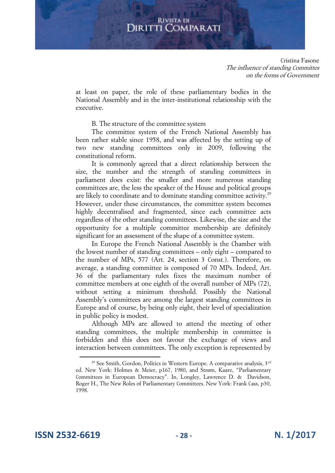Cristina Fasone The influence of standing Committes on the forms of Government

at least on paper, the role of these parliamentary bodies in the National Assembly and in the inter-institutional relationship with the executive.

B. The structure of the committee system

The committee system of the French National Assembly has been rather stable since 1958, and was affected by the setting up of two new standing committees only in 2009, following the constitutional reform.

It is commonly agreed that a direct relationship between the size, the number and the strength of standing committees in parliament does exist: the smaller and more numerous standing committees are, the less the speaker of the House and political groups are likely to coordinate and to dominate standing committee activity.<sup>29</sup> However, under these circumstances, the committee system becomes highly decentralised and fragmented, since each committee acts regardless of the other standing committees. Likewise, the size and the opportunity for a multiple committee membership are definitely significant for an assessment of the shape of a committee system.

In Europe the French National Assembly is the Chamber with the lowest number of standing committees – only eight – compared to the number of MPs, 577 (Art. 24, section 3 Const.). Therefore, on average, a standing committee is composed of 70 MPs. Indeed, Art. 36 of the parliamentary rules fixes the maximum number of committee members at one eighth of the overall number of MPs (72), without setting a minimum threshold. Possibly the National Assembly's committees are among the largest standing committees in Europe and of course, by being only eight, their level of specialization in public policy is modest.

Although MPs are allowed to attend the meeting of other standing committees, the multiple membership in committee is forbidden and this does not favour the exchange of views and interaction between committees. The only exception is represented by

**ISSN 2532-6619 - 28 - N. 1/2017**

<sup>&</sup>lt;sup>29</sup> See Smith, Gordon, Politics in Western Europe. A comparative analysis, 3<sup>rd</sup> ed. New York: Holmes & Meier, p167, 1980, and Strøm, Kaare, "Parliamentary Committees in European Democracy". In, Longley, Lawrence D. & Davidson, Roger H., The New Roles of Parliamentary Committees. New York: Frank Cass, p30, 1998.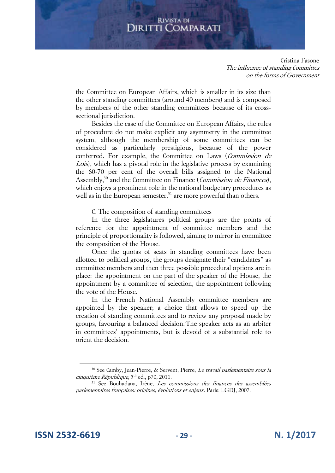Cristina Fasone The influence of standing Committes on the forms of Government

the Committee on European Affairs, which is smaller in its size than the other standing committees (around 40 members) and is composed by members of the other standing committees because of its crosssectional jurisdiction.

Besides the case of the Committee on European Affairs, the rules of procedure do not make explicit any asymmetry in the committee system, although the membership of some committees can be considered as particularly prestigious, because of the power conferred. For example, the Committee on Laws (Commission de Lois), which has a pivotal role in the legislative process by examining the 60-70 per cent of the overall bills assigned to the National Assembly,<sup>30</sup> and the Committee on Finance (*Commission de Finances*), which enjoys a prominent role in the national budgetary procedures as well as in the European semester, $31$  are more powerful than others.

C. The composition of standing committees

In the three legislatures political groups are the points of reference for the appointment of committee members and the principle of proportionality is followed, aiming to mirror in committee the composition of the House.

Once the quotas of seats in standing committees have been allotted to political groups, the groups designate their "candidates" as committee members and then three possible procedural options are in place: the appointment on the part of the speaker of the House, the appointment by a committee of selection, the appointment following the vote of the House.

In the French National Assembly committee members are appointed by the speaker; a choice that allows to speed up the creation of standing committees and to review any proposal made by groups, favouring a balanced decision..The speaker acts as an arbiter in committees' appointments, but is devoid of a substantial role to orient the decision.

**ISSN 2532-6619 - 29 - N. 1/2017**

<sup>&</sup>lt;sup>30</sup> See Camby, Jean-Pierre, & Servent, Pierre, *Le travail parlementaire sous la* cinquième République, 5th ed., p70, 2011.

<sup>&</sup>lt;sup>31</sup> See Bouhadana, Irène, *Les commissions des finances des assemblées* parlementaires françaises: origines, évolutions et enjeux. Paris: LGDJ, 2007.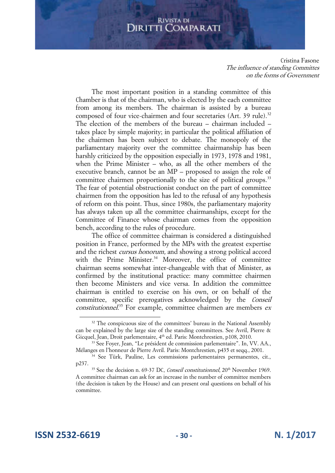Cristina Fasone The influence of standing Committes on the forms of Government

The most important position in a standing committee of this Chamber is that of the chairman, who is elected by the each committee from among its members. The chairman is assisted by a bureau composed of four vice-chairmen and four secretaries (Art. 39 rule).<sup>32</sup> The election of the members of the bureau – chairman included – takes place by simple majority; in particular the political affiliation of the chairmen has been subject to debate. The monopoly of the parliamentary majority over the committee chairmanship has been harshly criticized by the opposition especially in 1973, 1978 and 1981, when the Prime Minister – who, as all the other members of the executive branch, cannot be an MP – proposed to assign the role of committee chairmen proportionally to the size of political groups.<sup>33</sup> The fear of potential obstructionist conduct on the part of committee chairmen from the opposition has led to the refusal of any hypothesis of reform on this point. Thus, since 1980s, the parliamentary majority has always taken up all the committee chairmanships, except for the Committee of Finance whose chairman comes from the opposition bench, according to the rules of procedure.

The office of committee chairman is considered a distinguished position in France, performed by the MPs with the greatest expertise and the richest cursus honorum, and showing a strong political accord with the Prime Minister.<sup>34</sup> Moreover, the office of committee chairman seems somewhat inter-changeable with that of Minister, as confirmed by the institutional practice: many committee chairmen then become Ministers and vice versa. In addition the committee chairman is entitled to exercise on his own, or on behalf of the committee, specific prerogatives acknowledged by the Conseil constitutionnel.<sup>35</sup> For example, committee chairmen are members ex

**ISSN 2532-6619 - 30 - N. 1/2017**

<sup>&</sup>lt;sup>32</sup> The conspicuous size of the committees' bureau in the National Assembly can be explained by the large size of the standing committees. See Avril, Pierre & Gicquel, Jean, Droit parlementaire, 4<sup>th</sup> ed. Paris: Montchrestien, p108, 2010.

<sup>33</sup> See Foyer, Jean, "Le président de commission parlementaire". In, VV. AA., Mélanges en l'honneur de Pierre Avril. Paris: Montchrestien, p435 et seqq., 2001.

<sup>&</sup>lt;sup>34</sup> See Türk, Pauline, Les commissions parlementaires permanentes, cit., p237.

<sup>&</sup>lt;sup>35</sup> See the decision n. 69-37 DC, Conseil constitutionnel, 20<sup>th</sup> November 1969. A committee chairman can ask for an increase in the number of committee members (the decision is taken by the House) and can present oral questions on behalf of his committee.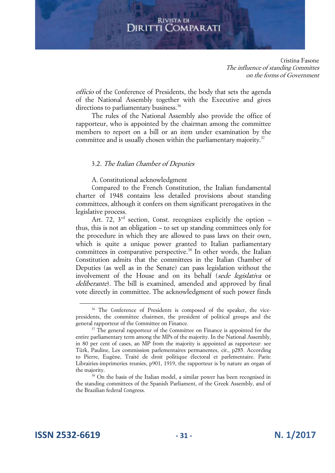Cristina Fasone The influence of standing Committes on the forms of Government

officio of the Conference of Presidents, the body that sets the agenda of the National Assembly together with the Executive and gives directions to parliamentary business.<sup>36</sup>

The rules of the National Assembly also provide the office of rapporteur, who is appointed by the chairman among the committee members to report on a bill or an item under examination by the committee and is usually chosen within the parliamentary majority.<sup>37</sup>

## 3.2. The Italian Chamber of Deputies

A. Constitutional acknowledgment

Compared to the French Constitution, the Italian fundamental charter of 1948 contains less detailed provisions about standing committees, although it confers on them significant prerogatives in the legislative process.

Art. 72,  $3<sup>rd</sup>$  section, Const. recognizes explicitly the option – thus, this is not an obligation – to set up standing committees only for the procedure in which they are allowed to pass laws on their own, which is quite a unique power granted to Italian parliamentary committees in comparative perspective.<sup>38</sup> In other words, the Italian Constitution admits that the committees in the Italian Chamber of Deputies (as well as in the Senate) can pass legislation without the involvement of the House and on its behalf (sede legislativa or deliberante). The bill is examined, amended and approved by final vote directly in committee. The acknowledgment of such power finds

<sup>&</sup>lt;sup>36</sup> The Conference of Presidents is composed of the speaker, the vicepresidents, the committee chairmen, the president of political groups and the general rapporteur of the Committee on Finance.

 $37$  The general rapporteur of the Committee on Finance is appointed for the entire parliamentary term among the MPs of the majority. In the National Assembly, in 80 per cent of cases, an MP from the majority is appointed as rapporteur: see Türk, Pauline, Les commission parlementaires permanentes, cit., p285. According to Pierre, Eugène, Traité de droit politique électoral et parlementaire. Paris: Librairies-imprimeries reunies, p901, 1919, the rapporteur is by nature an organ of the majority.

<sup>38</sup> On the basis of the Italian model, a similar power has been recognised in the standing committees of the Spanish Parliament, of the Greek Assembly, and of the Brazilian federal Congress.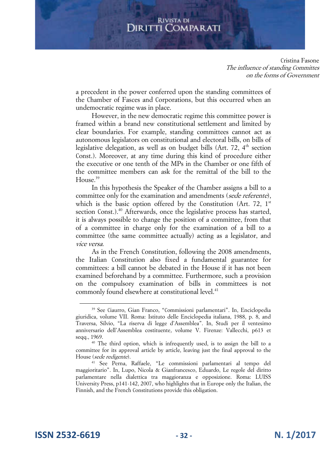Cristina Fasone The influence of standing Committes on the forms of Government

a precedent in the power conferred upon the standing committees of the Chamber of Fasces and Corporations, but this occurred when an undemocratic regime was in place.

However, in the new democratic regime this committee power is framed within a brand new constitutional settlement and limited by clear boundaries. For example, standing committees cannot act as autonomous legislators on constitutional and electoral bills, on bills of legislative delegation, as well as on budget bills (Art. 72,  $4<sup>th</sup>$  section Const.). Moreover, at any time during this kind of procedure either the executive or one tenth of the MPs in the Chamber or one fifth of the committee members can ask for the remittal of the bill to the House.<sup>39</sup>

In this hypothesis the Speaker of the Chamber assigns a bill to a committee only for the examination and amendments (sede referente), which is the basic option offered by the Constitution (Art. 72,  $1<sup>st</sup>$ section Const.).<sup>40</sup> Afterwards, once the legislative process has started, it is always possible to change the position of a committee, from that of a committee in charge only for the examination of a bill to a committee (the same committee actually) acting as a legislator, and vice versa.

As in the French Constitution, following the 2008 amendments, the Italian Constitution also fixed a fundamental guarantee for committees: a bill cannot be debated in the House if it has not been examined beforehand by a committee. Furthermore, such a provision on the compulsory examination of bills in committees is not commonly found elsewhere at constitutional level.<sup>41</sup>

<sup>39</sup> See Ciaurro, Gian Franco, "Commissioni parlamentari". In, Enciclopedia giuridica, volume VII. Roma: Istituto delle Enciclopedia italiana, 1988, p. 8, and Traversa, Silvio, "La riserva di legge d'Assemblea". In, Studi per il ventesimo anniversario dell'Assemblea costituente, volume V. Firenze: Vallecchi, p613 et seqq., 1969.

<sup>&</sup>lt;sup>40</sup> The third option, which is infrequently used, is to assign the bill to a committee for its approval article by article, leaving just the final approval to the House (sede redigente).

<sup>41</sup> See Perna, Raffaele, "Le commissioni parlamentari al tempo del maggioritario". In, Lupo, Nicola & Gianfrancesco, Eduardo, Le regole del diritto parlamentare nella dialettica tra maggioranza e opposizione. Roma: LUISS University Press, p141-142, 2007, who highlights that in Europe only the Italian, the Finnish, and the French Constitutions provide this obligation.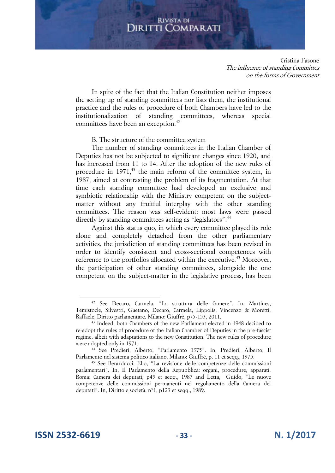Cristina Fasone The influence of standing Committes on the forms of Government

In spite of the fact that the Italian Constitution neither imposes the setting up of standing committees nor lists them, the institutional practice and the rules of procedure of both Chambers have led to the institutionalization of standing committees, whereas special committees have been an exception.<sup>42</sup>

## B. The structure of the committee system

The number of standing committees in the Italian Chamber of Deputies has not be subjected to significant changes since 1920, and has increased from 11 to 14. After the adoption of the new rules of procedure in 1971,<sup>43</sup> the main reform of the committee system, in 1987, aimed at contrasting the problem of its fragmentation. At that time each standing committee had developed an exclusive and symbiotic relationship with the Ministry competent on the subjectmatter without any fruitful interplay with the other standing committees. The reason was self-evident: most laws were passed directly by standing committees acting as "legislators".<sup>44</sup>

Against this status quo, in which every committee played its role alone and completely detached from the other parliamentary activities, the jurisdiction of standing committees has been revised in order to identify consistent and cross-sectional competences with reference to the portfolios allocated within the executive.<sup>45</sup> Moreover, the participation of other standing committees, alongside the one competent on the subject-matter in the legislative process, has been

<sup>42</sup> See Decaro, Carmela, "La struttura delle Camere". In, Martines, Temistocle, Silvestri, Gaetano, Decaro, Carmela, Lippolis, Vincenzo & Moretti, Raffaele, Diritto parlamentare. Milano: Giuffrè, p75-153, 2011.

<sup>43</sup> Indeed, both Chambers of the new Parliament elected in 1948 decided to re-adopt the rules of procedure of the Italian Chamber of Deputies in the pre-fascist regime, albeit with adaptations to the new Constitution. The new rules of procedure were adopted only in 1971.

<sup>44</sup> See Predieri, Alberto, "Parlamento 1975". In, Predieri, Alberto, Il Parlamento nel sistema politico italiano. Milano: Giuffrè, p. 11 et seqq., 1975.

<sup>45</sup> See Berarducci, Elio, "La revisione delle competenze delle commissioni parlamentari". In, Il Parlamento della Repubblica: organi, procedure, apparati. Roma: Camera dei deputati, p45 et seqq., 1987 and Letta, Guido, "Le nuove competenze delle commissioni permanenti nel regolamento della Camera dei deputati". In, Diritto e società, n°1, p123 et seqq., 1989.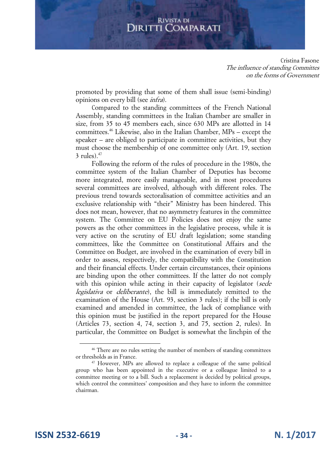Cristina Fasone The influence of standing Committes on the forms of Government

promoted by providing that some of them shall issue (semi-binding) opinions on every bill (see infra).

Compared to the standing committees of the French National Assembly, standing committees in the Italian Chamber are smaller in size, from 35 to 45 members each, since 630 MPs are allotted in 14 committees.<sup>46</sup> Likewise, also in the Italian Chamber, MPs – except the speaker – are obliged to participate in committee activities, but they must choose the membership of one committee only (Art. 19, section  $3$  rules). $47$ 

Following the reform of the rules of procedure in the 1980s, the committee system of the Italian Chamber of Deputies has become more integrated, more easily manageable, and in most procedures several committees are involved, although with different roles. The previous trend towards sectoralisation of committee activities and an exclusive relationship with "their" Ministry has been hindered. This does not mean, however, that no asymmetry features in the committee system. The Committee on EU Policies does not enjoy the same powers as the other committees in the legislative process, while it is very active on the scrutiny of EU draft legislation; some standing committees, like the Committee on Constitutional Affairs and the Committee on Budget, are involved in the examination of every bill in order to assess, respectively, the compatibility with the Constitution and their financial effects. Under certain circumstances, their opinions are binding upon the other committees. If the latter do not comply with this opinion while acting in their capacity of legislator (sede legislativa or *deliberante*), the bill is immediately remitted to the examination of the House (Art. 93, section 3 rules); if the bill is only examined and amended in committee, the lack of compliance with this opinion must be justified in the report prepared for the House (Articles 73, section 4, 74, section 3, and 75, section 2, rules). In particular, the Committee on Budget is somewhat the linchpin of the

**ISSN 2532-6619 - 34 - N. 1/2017**

<sup>&</sup>lt;sup>46</sup> There are no rules setting the number of members of standing committees or thresholds as in France.

<sup>&</sup>lt;sup>47</sup> However, MPs are allowed to replace a colleague of the same political group who has been appointed in the executive or a colleague limited to a committee meeting or to a bill. Such a replacement is decided by political groups, which control the committees' composition and they have to inform the committee chairman.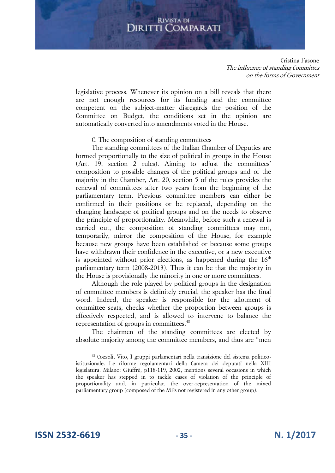Cristina Fasone The influence of standing Committes on the forms of Government

legislative process. Whenever its opinion on a bill reveals that there are not enough resources for its funding and the committee competent on the subject-matter disregards the position of the Committee on Budget, the conditions set in the opinion are automatically converted into amendments voted in the House.

## C. The composition of standing committees

The standing committees of the Italian Chamber of Deputies are formed proportionally to the size of political in groups in the House (Art. 19, section 2 rules). Aiming to adjust the committees' composition to possible changes of the political groups and of the majority in the Chamber, Art. 20, section 5 of the rules provides the renewal of committees after two years from the beginning of the parliamentary term. Previous committee members can either be confirmed in their positions or be replaced, depending on the changing landscape of political groups and on the needs to observe the principle of proportionality. Meanwhile, before such a renewal is carried out, the composition of standing committees may not, temporarily, mirror the composition of the House, for example because new groups have been established or because some groups have withdrawn their confidence in the executive, or a new executive is appointed without prior elections, as happened during the  $16<sup>th</sup>$ parliamentary term (2008-2013). Thus it can be that the majority in the House is provisionally the minority in one or more committees.

Although the role played by political groups in the designation of committee members is definitely crucial, the speaker has the final word. Indeed, the speaker is responsible for the allotment of committee seats, checks whether the proportion between groups is effectively respected, and is allowed to intervene to balance the representation of groups in committees.<sup>48</sup>

The chairmen of the standing committees are elected by absolute majority among the committee members, and thus are "men

**ISSN 2532-6619 - 35 - N. 1/2017**

<sup>48</sup> Cozzoli, Vito, I gruppi parlamentari nella transizione del sistema politicoistituzionale. Le riforme regolamentari della Camera dei deputati nella XIII legislatura. Milano: Giuffrè, p118-119, 2002, mentions several occasions in which the speaker has stepped in to tackle cases of violation of the principle of proportionality and, in particular, the over-representation of the mixed parliamentary group (composed of the MPs not registered in any other group).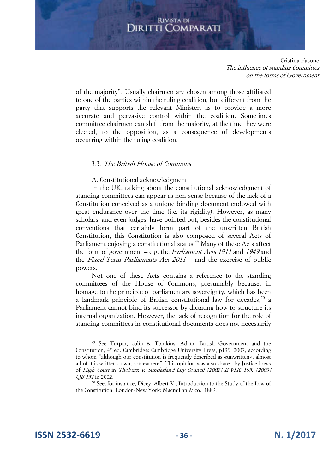Cristina Fasone The influence of standing Committes on the forms of Government

of the majority". Usually chairmen are chosen among those affiliated to one of the parties within the ruling coalition, but different from the party that supports the relevant Minister, as to provide a more accurate and pervasive control within the coalition. Sometimes committee chairmen can shift from the majority, at the time they were elected, to the opposition, as a consequence of developments occurring within the ruling coalition.

## 3.3. The British House of Commons

A. Constitutional acknowledgment

In the UK, talking about the constitutional acknowledgment of standing committees can appear as non-sense because of the lack of a Constitution conceived as a unique binding document endowed with great endurance over the time (i.e. its rigidity). However, as many scholars, and even judges, have pointed out, besides the constitutional conventions that certainly form part of the unwritten British Constitution, this Constitution is also composed of several Acts of Parliament enjoying a constitutional status.<sup>49</sup> Many of these Acts affect the form of government – e.g. the Parliament Acts 1911 and 1949 and the Fixed-Term Parliaments Act 2011 – and the exercise of public powers.

Not one of these Acts contains a reference to the standing committees of the House of Commons, presumably because, in homage to the principle of parliamentary sovereignty, which has been a landmark principle of British constitutional law for decades,<sup>50</sup> a Parliament cannot bind its successor by dictating how to structure its internal organization. However, the lack of recognition for the role of standing committees in constitutional documents does not necessarily

**ISSN 2532-6619 - 36 - N. 1/2017**

<sup>49</sup> See Turpin, Colin & Tomkins, Adam, British Government and the Constitution, 4<sup>th</sup> ed. Cambridge: Cambridge University Press, p139, 2007, according to whom "although our constitution is frequently described as «unwritten», almost all of it is written down, somewhere". This opinion was also shared by Justice Laws of High Court in Thoburn v. Sunderland City Council [2002] EWHC 195, [2003] OB 151 in 2002.

<sup>50</sup> See, for instance, Dicey, Albert V., Introduction to the Study of the Law of the Constitution. London-New York: Macmillan & co., 1889.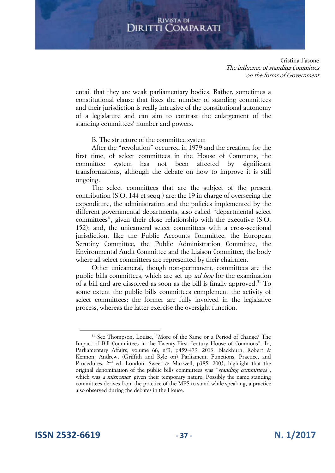Cristina Fasone The influence of standing Committes on the forms of Government

entail that they are weak parliamentary bodies. Rather, sometimes a constitutional clause that fixes the number of standing committees and their jurisdiction is really intrusive of the constitutional autonomy of a legislature and can aim to contrast the enlargement of the standing committees' number and powers.

## B. The structure of the committee system

After the "revolution" occurred in 1979 and the creation, for the first time, of select committees in the House of Commons, the committee system has not been affected by significant transformations, although the debate on how to improve it is still ongoing.

The select committees that are the subject of the present contribution (S.O. 144 et seqq.) are: the 19 in charge of overseeing the expenditure, the administration and the policies implemented by the different governmental departments, also called "departmental select committees", given their close relationship with the executive (S.O. 152); and, the unicameral select committees with a cross-sectional jurisdiction, like the Public Accounts Committee, the European Scrutiny Committee, the Public Administration Committee, the Environmental Audit Committee and the Liaison Committee, the body where all select committees are represented by their chairmen.

Other unicameral, though non-permanent, committees are the public bills committees, which are set up ad hoc for the examination of a bill and are dissolved as soon as the bill is finally approved.<sup>51</sup> To some extent the public bills committees complement the activity of select committees: the former are fully involved in the legislative process, whereas the latter exercise the oversight function.

**ISSN 2532-6619 - 37 - N. 1/2017**

<sup>51</sup> See Thompson, Louise, "More of the Same or a Period of Change? The Impact of Bill Committees in the Twenty-First Century House of Commons". In, Parliamentary Affairs, volume 66, n°3, p459-479, 2013. Blackburn, Robert & Kennon, Andrew, (Griffith and Ryle on) Parliament. Functions, Practice, and Procedures, 2<sup>nd</sup> ed. London: Sweet & Maxwell, p385, 2003, highlight that the original denomination of the public bills committees was "standing committees", which was *a misnomer*, given their temporary nature. Possibly the name standing committees derives from the practice of the MPS to stand while speaking, a practice also observed during the debates in the House.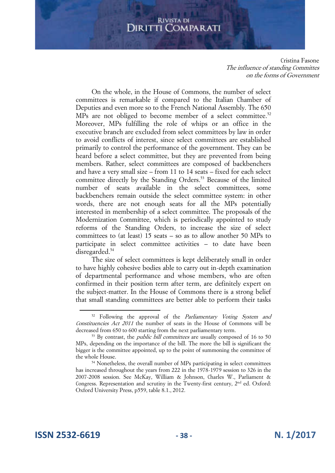Cristina Fasone The influence of standing Committes on the forms of Government

On the whole, in the House of Commons, the number of select committees is remarkable if compared to the Italian Chamber of Deputies and even more so to the French National Assembly. The 650 MPs are not obliged to become member of a select committee.<sup>52</sup> Moreover, MPs fulfilling the role of whips or an office in the executive branch are excluded from select committees by law in order to avoid conflicts of interest, since select committees are established primarily to control the performance of the government. They can be heard before a select committee, but they are prevented from being members. Rather, select committees are composed of backbenchers and have a very small size – from 11 to 14 seats – fixed for each select committee directly by the Standing Orders.<sup>53</sup> Because of the limited number of seats available in the select committees, some backbenchers remain outside the select committee system: in other words, there are not enough seats for all the MPs potentially interested in membership of a select committee. The proposals of the Modernization Committee, which is periodically appointed to study reforms of the Standing Orders, to increase the size of select committees to (at least) 15 seats – so as to allow another 50 MPs to participate in select committee activities – to date have been disregarded.<sup>54</sup>

The size of select committees is kept deliberately small in order to have highly cohesive bodies able to carry out in-depth examination of departmental performance and whose members, who are often confirmed in their position term after term, are definitely expert on the subject-matter. In the House of Commons there is a strong belief that small standing committees are better able to perform their tasks

<sup>&</sup>lt;sup>52</sup> Following the approval of the *Parliamentary Voting System and* Constituencies Act 2011 the number of seats in the House of Commons will be decreased from 650 to 600 starting from the next parliamentary term.

<sup>&</sup>lt;sup>53</sup> By contrast, the *public bill committees* are usually composed of 16 to 50 MPs, depending on the importance of the bill. The more the bill is significant the bigger is the committee appointed, up to the point of summoning the committee of the whole House.

<sup>54</sup> Nonetheless, the overall number of MPs participating in select committees has increased throughout the years from 222 in the 1978-1979 session to 326 in the 2007-2008 session. See McKay, William & Johnson, Charles W., Parliament & Congress. Representation and scrutiny in the Twenty-first century, 2<sup>nd</sup> ed. Oxford: Oxford University Press, p559, table 8.1., 2012.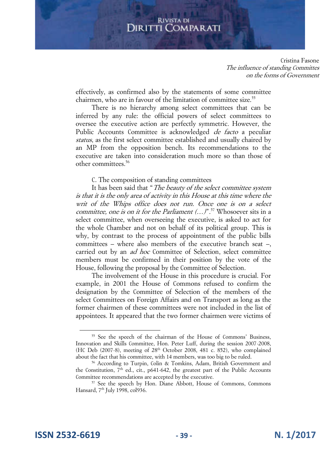Cristina Fasone The influence of standing Committes on the forms of Government

effectively, as confirmed also by the statements of some committee chairmen, who are in favour of the limitation of committee size.<sup>55</sup>

There is no hierarchy among select committees that can be inferred by any rule: the official powers of select committees to oversee the executive action are perfectly symmetric. However, the Public Accounts Committee is acknowledged *de facto* a peculiar status, as the first select committee established and usually chaired by an MP from the opposition bench. Its recommendations to the executive are taken into consideration much more so than those of other committees.<sup>56</sup>

## C. The composition of standing committees

It has been said that "The beauty of the select committee system is that it is the only area of activity in this House at this time where the writ of the Whips office does not run. Once one is on a select committee, one is on it for the Parliament  $(...)^{n}$ ,<sup>57</sup> Whosoever sits in a select committee, when overseeing the executive, is asked to act for the whole Chamber and not on behalf of its political group. This is why, by contrast to the process of appointment of the public bills committees – where also members of the executive branch seat –, carried out by an *ad hoc* Committee of Selection, select committee members must be confirmed in their position by the vote of the House, following the proposal by the Committee of Selection.

The involvement of the House in this procedure is crucial. For example, in 2001 the House of Commons refused to confirm the designation by the Committee of Selection of the members of the select Committees on Foreign Affairs and on Transport as long as the former chairmen of these committees were not included in the list of appointees. It appeared that the two former chairmen were victims of

<sup>55</sup> See the speech of the chairman of the House of Commons' Business, Innovation and Skills Committee, Hon. Peter Luff, during the session 2007-2008, (HC Deb (2007-8), meeting of 28<sup>th</sup> October 2008, 481 c. 852), who complained about the fact that his committee, with 14 members, was too big to be ruled.

<sup>56</sup> According to Turpin, Colin & Tomkins, Adam, British Government and the Constitution,  $7<sup>th</sup>$  ed., cit., p641-642, the greatest part of the Public Accounts Committee recommendations are accepted by the executive.

<sup>57</sup> See the speech by Hon. Diane Abbott, House of Commons, Commons Hansard, 7<sup>th</sup> July 1998, col936.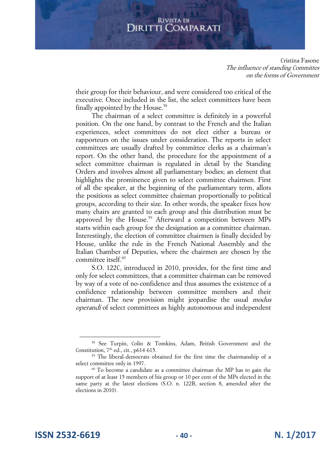Cristina Fasone The influence of standing Committes on the forms of Government

their group for their behaviour, and were considered too critical of the executive. Once included in the list, the select committees have been finally appointed by the House.<sup>58</sup>

The chairman of a select committee is definitely in a powerful position. On the one hand, by contrast to the French and the Italian experiences, select committees do not elect either a bureau or rapporteurs on the issues under consideration. The reports in select committees are usually drafted by committee clerks as a chairman's report. On the other hand, the procedure for the appointment of a select committee chairman is regulated in detail by the Standing Orders and involves almost all parliamentary bodies; an element that highlights the prominence given to select committee chairmen. First of all the speaker, at the beginning of the parliamentary term, allots the positions as select committee chairman proportionally to political groups, according to their size. In other words, the speaker fixes how many chairs are granted to each group and this distribution must be approved by the House.<sup>59</sup> Afterward a competition between MPs starts within each group for the designation as a committee chairman. Interestingly, the election of committee chairmen is finally decided by House, unlike the rule in the French National Assembly and the Italian Chamber of Deputies, where the chairmen are chosen by the committee itself.<sup>60</sup>

S.O. 122C, introduced in 2010, provides, for the first time and only for select committees, that a committee chairman can be removed by way of a vote of no-confidence and thus assumes the existence of a confidence relationship between committee members and their chairman. The new provision might jeopardise the usual modus operandi of select committees as highly autonomous and independent

**ISSN 2532-6619 - 40 - N. 1/2017**

<sup>58</sup> See Turpin, Colin & Tomkins, Adam, British Government and the Constitution,  $7<sup>th</sup>$  ed., cit., p614-615.

<sup>&</sup>lt;sup>59</sup> The liberal-democrats obtained for the first time the chairmanship of a select committee only in 1997.

<sup>&</sup>lt;sup>60</sup> To become a candidate as a committee chairman the MP has to gain the support of at least 15 members of his group or 10 per cent of the MPs elected in the same party at the latest elections (S.O. n. 122B, section 8, amended after the elections in 2010).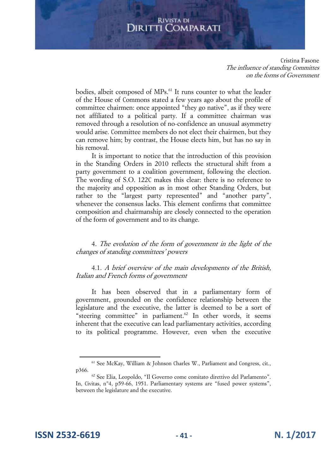## **DIRITTI COMPARATI**

Cristina Fasone The influence of standing Committes on the forms of Government

bodies, albeit composed of MPs.<sup>61</sup> It runs counter to what the leader of the House of Commons stated a few years ago about the profile of committee chairmen: once appointed "they go native", as if they were not affiliated to a political party. If a committee chairman was removed through a resolution of no-confidence an unusual asymmetry would arise. Committee members do not elect their chairmen, but they can remove him; by contrast, the House elects him, but has no say in his removal.

It is important to notice that the introduction of this provision in the Standing Orders in 2010 reflects the structural shift from a party government to a coalition government, following the election. The wording of S.O. 122C makes this clear: there is no reference to the majority and opposition as in most other Standing Orders, but rather to the "largest party represented" and "another party", whenever the consensus lacks. This element confirms that committee composition and chairmanship are closely connected to the operation of the form of government and to its change.

4. The evolution of the form of government in the light of the changes of standing committees' powers

## 4.1. A brief overview of the main developments of the British, Italian and French forms of government

It has been observed that in a parliamentary form of government, grounded on the confidence relationship between the legislature and the executive, the latter is deemed to be a sort of "steering committee" in parliament.<sup>62</sup> In other words, it seems inherent that the executive can lead parliamentary activities, according to its political programme. However, even when the executive

**ISSN 2532-6619 - 41 - N. 1/2017**

<sup>61</sup> See McKay, William & Johnson Charles W., Parliament and Congress, cit., p366.

<sup>62</sup> See Elia, Leopoldo, "Il Governo come comitato direttivo del Parlamento". In, Civitas, n°4, p59-66, 1951. Parliamentary systems are "fused power systems", between the legislature and the executive.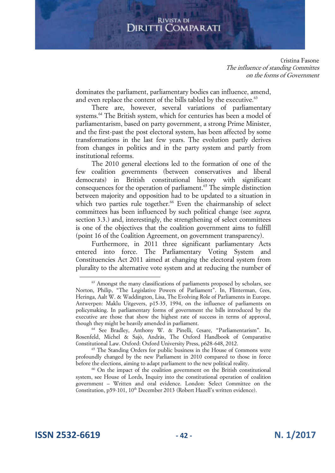Cristina Fasone The influence of standing Committes on the forms of Government

dominates the parliament, parliamentary bodies can influence, amend, and even replace the content of the bills tabled by the executive.<sup>63</sup>

There are, however, several variations of parliamentary systems.<sup>64</sup> The British system, which for centuries has been a model of parliamentarism, based on party government, a strong Prime Minister, and the first-past the post electoral system, has been affected by some transformations in the last few years. The evolution partly derives from changes in politics and in the party system and partly from institutional reforms.

The 2010 general elections led to the formation of one of the few coalition governments (between conservatives and liberal democrats) in British constitutional history with significant consequences for the operation of parliament.<sup>65</sup> The simple distinction between majority and opposition had to be updated to a situation in which two parties rule together.<sup>66</sup> Even the chairmanship of select committees has been influenced by such political change (see supra, section 3.3.) and, interestingly, the strengthening of select committees is one of the objectives that the coalition government aims to fulfill (point 16 of the Coalition Agreement, on government transparency).

Furthermore, in 2011 three significant parliamentary Acts entered into force. The Parliamentary Voting System and Constituencies Act 2011 aimed at changing the electoral system from plurality to the alternative vote system and at reducing the number of

<sup>&</sup>lt;sup>63</sup> Amongst the many classifications of parliaments proposed by scholars, see Norton, Philip, "The Legislative Powers of Parliament". In, Flinterman, Cees, Heringa, Aalt W. & Waddington, Lisa, The Evolving Role of Parliaments in Europe. Antwerpen: Maklu Uitgevers, p15-35, 1994, on the influence of parliaments on policymaking. In parliamentary forms of government the bills introduced by the executive are those that show the highest rate of success in terms of approval, though they might be heavily amended in parliament.

<sup>64</sup> See Bradley, Anthony W. & Pinelli, Cesare, "Parliamentarism". In, Rosenfeld, Michel & Sajò, Andràs, The Oxford Handbook of Comparative Constitutional Law. Oxford: Oxford University Press, p628-648, 2012.

<sup>&</sup>lt;sup>65</sup> The Standing Orders for public business in the House of Commons were profoundly changed by the new Parliament in 2010 compared to those in force before the elections, aiming to adapt parliament to the new political reality.

<sup>66</sup> On the impact of the coalition government on the British constitutional system, see House of Lords, Inquiry into the constitutional operation of coalition government – Written and oral evidence. London: Select Committee on the Constitution, p59-101, 10<sup>th</sup> December 2013 (Robert Hazell's written evidence).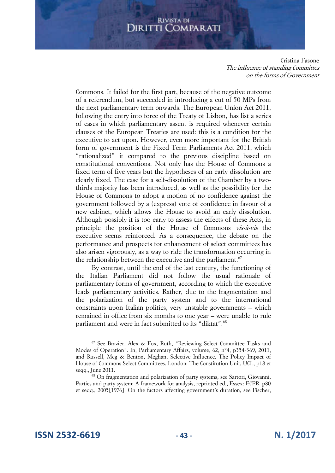Cristina Fasone The influence of standing Committes on the forms of Government

Commons. It failed for the first part, because of the negative outcome of a referendum, but succeeded in introducing a cut of 50 MPs from the next parliamentary term onwards. The European Union Act 2011, following the entry into force of the Treaty of Lisbon, has list a series of cases in which parliamentary assent is required whenever certain clauses of the European Treaties are used: this is a condition for the executive to act upon. However, even more important for the British form of government is the Fixed Term Parliaments Act 2011, which "rationalized" it compared to the previous discipline based on constitutional conventions. Not only has the House of Commons a fixed term of five years but the hypotheses of an early dissolution are clearly fixed. The case for a self-dissolution of the Chamber by a twothirds majority has been introduced, as well as the possibility for the House of Commons to adopt a motion of no confidence against the government followed by a (express) vote of confidence in favour of a new cabinet, which allows the House to avoid an early dissolution. Although possibly it is too early to assess the effects of these Acts, in principle the position of the House of Commons vis-à-vis the executive seems reinforced. As a consequence, the debate on the performance and prospects for enhancement of select committees has also arisen vigorously, as a way to ride the transformation occurring in the relationship between the executive and the parliament.<sup>67</sup>

By contrast, until the end of the last century, the functioning of the Italian Parliament did not follow the usual rationale of parliamentary forms of government, according to which the executive leads parliamentary activities. Rather, due to the fragmentation and the polarization of the party system and to the international constraints upon Italian politics, very unstable governments – which remained in office from six months to one year – were unable to rule parliament and were in fact submitted to its "diktat".<sup>68</sup>

<sup>67</sup> See Brazier, Alex & Fox, Ruth, "Reviewing Select Committee Tasks and Modes of Operation". In, Parliamentary Affairs, volume, 62, n°4, p354-369, 2011, and Russell, Meg & Benton, Meghan, Selective Influence. The Policy Impact of House of Commons Select Committees. London: The Constitution Unit, UCL, p18 et seqq., June 2011.

<sup>68</sup> On fragmentation and polarization of party systems, see Sartori, Giovanni, Parties and party system: A framework for analysis, reprinted ed., Essex: ECPR, p80 et seqq., 2005[1976]. On the factors affecting government's duration, see Fischer,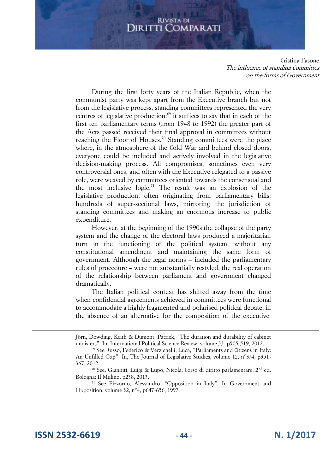Cristina Fasone The influence of standing Committes on the forms of Government

During the first forty years of the Italian Republic, when the communist party was kept apart from the Executive branch but not from the legislative process, standing committees represented the very centres of legislative production:<sup>69</sup> it suffices to say that in each of the first ten parliamentary terms (from 1948 to 1992) the greater part of the Acts passed received their final approval in committees without reaching the Floor of Houses.<sup>70</sup> Standing committees were the place where, in the atmosphere of the Cold War and behind closed doors, everyone could be included and actively involved in the legislative decision-making process. All compromises, sometimes even very controversial ones, and often with the Executive relegated to a passive role, were weaved by committees oriented towards the consensual and the most inclusive logic.<sup>71</sup> The result was an explosion of the legislative production, often originating from parliamentary bills: hundreds of super-sectional laws, mirroring the jurisdiction of standing committees and making an enormous increase to public expenditure.

However, at the beginning of the 1990s the collapse of the party system and the change of the electoral laws produced a majoritarian turn in the functioning of the political system, without any constitutional amendment and maintaining the same form of government. Although the legal norms – included the parliamentary rules of procedure – were not substantially restyled, the real operation of the relationship between parliament and government changed dramatically.

The Italian political context has shifted away from the time when confidential agreements achieved in committees were functional to accommodate a highly fragmented and polarised political debate, in the absence of an alternative for the composition of the executive.

**ISSN 2532-6619 - 44 - N. 1/2017**

 $\overline{a}$ 

Jörn, Dowding, Keith & Dumont, Patrick, "The duration and durability of cabinet ministers". In, International Political Science Review, volume 33, p505-519, 2012.

<sup>69</sup> See Russo, Federico & Verzichelli, Luca, "Parliaments and Citizens in Italy: An Unfilled Gap". In, The Journal of Legislative Studies, volume 12, n°3/4, p351- 367, 2012.

<sup>70</sup> See. Gianniti, Luigi & Lupo, Nicola, Corso di diritto parlamentare, 2nd ed. Bologna: Il Mulino, p238, 2013.

<sup>71</sup> See Pizzorno, Alessandro, "Opposition in Italy". In Government and Opposition, volume 32, n°4, p647-656, 1997.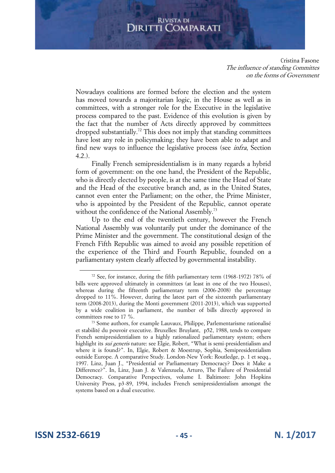Cristina Fasone The influence of standing Committes on the forms of Government

Nowadays coalitions are formed before the election and the system has moved towards a majoritarian logic, in the House as well as in committees, with a stronger role for the Executive in the legislative process compared to the past. Evidence of this evolution is given by the fact that the number of Acts directly approved by committees dropped substantially.<sup>72</sup> This does not imply that standing committees have lost any role in policymaking; they have been able to adapt and find new ways to influence the legislative process (see infra, Section 4.2.).

Finally French semipresidentialism is in many regards a hybrid form of government: on the one hand, the President of the Republic, who is directly elected by people, is at the same time the Head of State and the Head of the executive branch and, as in the United States, cannot even enter the Parliament; on the other, the Prime Minister, who is appointed by the President of the Republic, cannot operate without the confidence of the National Assembly.<sup>73</sup>

Up to the end of the twentieth century, however the French National Assembly was voluntarily put under the dominance of the Prime Minister and the government. The constitutional design of the French Fifth Republic was aimed to avoid any possible repetition of the experience of the Third and Fourth Republic, founded on a parliamentary system clearly affected by governmental instability.

**ISSN 2532-6619 - 45 - N. 1/2017**

<sup>&</sup>lt;sup>72</sup> See, for instance, during the fifth parliamentary term (1968-1972) 78% of bills were approved ultimately in committees (at least in one of the two Houses), whereas during the fifteenth parliamentary term (2006-2008) the percentage dropped to 11%. However, during the latest part of the sixteenth parliamentary term (2008-2013), during the Monti government (2011-2013), which was supported by a wide coalition in parliament, the number of bills directly approved in committees rose to 17 %.

<sup>73</sup> Some authors, for example Lauvaux, Philippe, Parlementarisme rationalisé et stabilité du pouvoir executive. Bruxelles: Bruylant, p52, 1988, tends to compare French semipresidentialism to a highly rationalized parliamentary system; others highlight its *sui generis* nature: see Elgie, Robert, "What is semi-presidentialism and where it is found?". In, Elgie, Robert & Moestrup, Sophia, Semipresidentialism outside Europe. A comparative Study. London-New York: Routledge, p. 1 et seqq., 1997. Linz, Juan J., "Presidential or Parliamentary Democracy? Does it Make a Difference?". In, Linz, Juan J. & Valenzuela, Arturo, The Failure of Presidential Democracy. Comparative Perspectives, volume I. Baltimore: John Hopkins University Press, p3-89, 1994, includes French semipresidentialism amongst the systems based on a dual executive.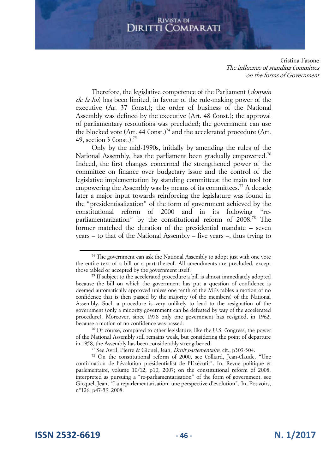Cristina Fasone The influence of standing Committes on the forms of Government

Therefore, the legislative competence of the Parliament (*domain*) de la loi) has been limited, in favour of the rule-making power of the executive (Ar. 37 Const.); the order of business of the National Assembly was defined by the executive (Art. 48 Const.); the approval of parliamentary resolutions was precluded; the government can use the blocked vote (Art. 44 Const.)<sup>74</sup> and the accelerated procedure (Art. 49, section 3 Const.). $^{75}$ 

Only by the mid-1990s, initially by amending the rules of the National Assembly, has the parliament been gradually empowered.<sup>76</sup> Indeed, the first changes concerned the strengthened power of the committee on finance over budgetary issue and the control of the legislative implementation by standing committees: the main tool for empowering the Assembly was by means of its committees.<sup>77</sup> A decade later a major input towards reinforcing the legislature was found in the "presidentisalization" of the form of government achieved by the constitutional reform of 2000 and in its following "reparliamentarization" by the constitutional reform of 2008.<sup>78</sup> The former matched the duration of the presidential mandate – seven years – to that of the National Assembly – five years –, thus trying to

**ISSN 2532-6619 - 46 - N. 1/2017**

<sup>&</sup>lt;sup>74</sup> The government can ask the National Assembly to adopt just with one vote the entire text of a bill or a part thereof. All amendments are precluded, except those tabled or accepted by the government itself.

<sup>&</sup>lt;sup>75</sup> If subject to the accelerated procedure a bill is almost immediately adopted because the bill on which the government has put a question of confidence is deemed automatically approved unless one tenth of the MPs tables a motion of no confidence that is then passed by the majority (of the members) of the National Assembly. Such a procedure is very unlikely to lead to the resignation of the government (only a minority government can be defeated by way of the accelerated procedure). Moreover, since 1958 only one government has resigned, in 1962, because a motion of no confidence was passed.

<sup>76</sup> Of course, compared to other legislature, like the U.S. Congress, the power of the National Assembly still remains weak, but considering the point of departure in 1958, the Assembly has been considerably strengthened.

<sup>77</sup> See Avril, Pierre & Giquel, Jean, Droit parlementaire, cit., p303-304.

<sup>78</sup> On the constitutional reform of 2000, see Colliard, Jean-Claude, "Une confirmation de l'évolution présidentialist de l'Exécutif". In, Revue politique et parlementaire, volume 10/12, p10, 2007; on the constitutional reform of 2008, interpreted as pursuing a "re-parliamentarisation" of the form of government, see Gicquel, Jean, "La reparlementarisation: une perspective d'evolution". In, Pouvoirs, n°126, p47-59, 2008.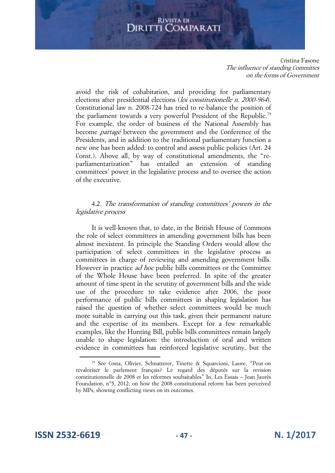Cristina Fasone The influence of standing Committes on the forms of Government

avoid the risk of cohabitation, and providing for parliamentary elections after presidential elections (loi constitutionelle n. 2000-964). Constitutional law n. 2008-724 has tried to re-balance the position of the parliament towards a very powerful President of the Republic.<sup>79</sup> For example, the order of business of the National Assembly has become partagé between the government and the Conference of the Presidents, and in addition to the traditional parliamentary function a new one has been added: to control and assess public policies (Art. 24 Const.). Above all, by way of constitutional amendments, the "reparliamentarization" has entailed an extension of standing committees' power in the legislative process and to oversee the action of the executive.

## 4.2. The transformation of standing committees' powers in the legislative process

It is well-known that, to date, in the British House of Commons the role of select committees in amending government bills has been almost inexistent. In principle the Standing Orders would allow the participation of select committees in the legislative process as committees in charge of reviewing and amending government bills. However in practice *ad hoc* public bills committees or the Committee of the Whole House have been preferred. In spite of the greater amount of time spent in the scrutiny of government bills and the wide use of the procedure to take evidence after 2006, the poor performance of public bills committees in shaping legislation has raised the question of whether select committees would be much more suitable in carrying out this task, given their permanent nature and the expertise of its members. Except for a few remarkable examples, like the Hunting Bill, public bills committees remain largely unable to shape legislation: the introduction of oral and written evidence in committees has reinforced legislative scrutiny, but the

**ISSN 2532-6619 - 47 - N. 1/2017**

<sup>79</sup> See Costa, Olivier, Schnatterer, Tinette & Squarcioni, Laure, "Peut-on revaloriser le parlement français? Le regard des députés sur la revision constitutionnelle de 2008 et les réformes souhaitables" In, Les Essais – Jean Jaurès Foundation, n°5, 2012, on how the 2008 constitutional reform has been perceived by MPs, showing conflicting views on its outcomes.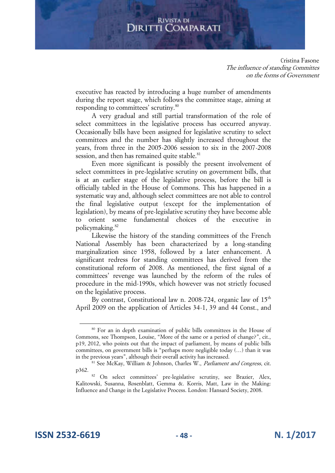#### **RIVISTA DI** COMPARATI Diritti (

Cristina Fasone The influence of standing Committes on the forms of Government

executive has reacted by introducing a huge number of amendments during the report stage, which follows the committee stage, aiming at responding to committees' scrutiny.<sup>80</sup>

A very gradual and still partial transformation of the role of select committees in the legislative process has occurred anyway. Occasionally bills have been assigned for legislative scrutiny to select committees and the number has slightly increased throughout the years, from three in the 2005-2006 session to six in the 2007-2008 session, and then has remained quite stable.<sup>81</sup>

Even more significant is possibly the present involvement of select committees in pre-legislative scrutiny on government bills, that is at an earlier stage of the legislative process, before the bill is officially tabled in the House of Commons. This has happened in a systematic way and, although select committees are not able to control the final legislative output (except for the implementation of legislation), by means of pre-legislative scrutiny they have become able to orient some fundamental choices of the executive in policymaking.<sup>82</sup>

Likewise the history of the standing committees of the French National Assembly has been characterized by a long-standing marginalization since 1958, followed by a later enhancement. A significant redress for standing committees has derived from the constitutional reform of 2008. As mentioned, the first signal of a committees' revenge was launched by the reform of the rules of procedure in the mid-1990s, which however was not strictly focused on the legislative process.

By contrast, Constitutional law n. 2008-724, organic law of  $15<sup>th</sup>$ April 2009 on the application of Articles 34-1, 39 and 44 Const., and

<sup>80</sup> For an in depth examination of public bills committees in the House of Commons, see Thompson, Louise, "More of the same or a period of change?", cit., p19, 2012, who points out that the impact of parliament, by means of public bills committees, on government bills is "perhaps more negligible today (…) than it was in the previous years", although their overall activity has increased.

<sup>&</sup>lt;sup>81</sup> See McKay, William & Johnson, Charles W., Parliament and Congress, cit. p362.

<sup>&</sup>lt;sup>82</sup> On select committees' pre-legislative scrutiny, see Brazier, Alex, Kalitowski, Susanna, Rosenblatt, Gemma &. Korris, Matt, Law in the Making: Influence and Change in the Legislative Process. London: Hansard Society, 2008.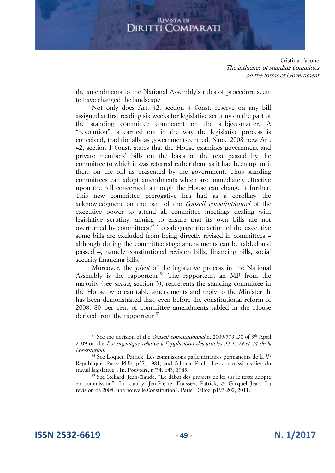Cristina Fasone The influence of standing Committes on the forms of Government

the amendments to the National Assembly's rules of procedure seem to have changed the landscape.

Not only does Art. 42, section 4 Const. reserve on any bill assigned at first reading six weeks for legislative scrutiny on the part of the standing committee competent on the subject-matter. A "revolution" is carried out in the way the legislative process is conceived, traditionally as government-centred. Since 2008 new Art. 42, section 1 Const. states that the House examines government and private members' bills on the basis of the text passed by the committee to which it was referred rather than, as it had been up until then, on the bill as presented by the government. Thus standing committees can adopt amendments which are immediately effective upon the bill concerned, although the House can change it further. This new committee prerogative has had as a corollary the acknowledgment on the part of the Conseil constitutionnel of the executive power to attend all committee meetings dealing with legislative scrutiny, aiming to ensure that its own bills are not overturned by committees. $83$  To safeguard the action of the executive some bills are excluded from being directly revised in committees – although during the committee stage amendments can be tabled and passed –, namely constitutional revision bills, financing bills, social security financing bills.

Moreover, the *pivot* of the legislative process in the National Assembly is the rapporteur. $84$  The rapporteur, an MP from the majority (see supra, section 3), represents the standing committee in the House, who can table amendments and reply to the Minister. It has been demonstrated that, even before the constitutional reform of 2008, 80 per cent of committee amendments tabled in the House derived from the rapporteur.<sup>85</sup>

<sup>&</sup>lt;sup>83</sup> See the decision of the *Conseil constitutionnel* n. 2009-579 DC of 9<sup>th</sup> April 2009 on the Loi organique relative à l'application des articles 34-1, 39 et 44 de la Constitution.

<sup>&</sup>lt;sup>84</sup> See Loquet, Patrick, Les commissions parlementaires permanents de la V<sup>e</sup> République. Paris: PUF, p37, 1981, and Cahoua, Paul, "Les commissions lieu du travail legislative". In, Pouvoirs, n°34, p43, 1985.

<sup>85</sup> See Colliard, Jean-Claude, "Le débat des projects de loi sur le texte adopté en commission". In, Camby, Jen-Pierre, Fraissex, Patrick, & Gicquel Jean, La revision de 2008: une nouvelle Constitution?. Paris: Dalloz, p197-202, 2011.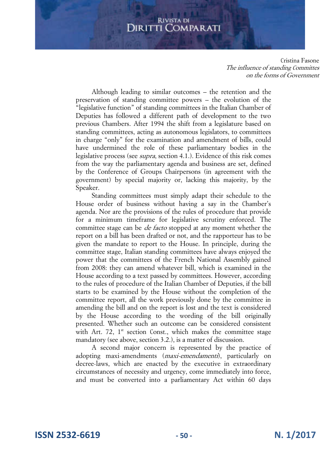Cristina Fasone The influence of standing Committes on the forms of Government

Although leading to similar outcomes – the retention and the preservation of standing committee powers – the evolution of the "legislative function" of standing committees in the Italian Chamber of Deputies has followed a different path of development to the two previous Chambers. After 1994 the shift from a legislature based on standing committees, acting as autonomous legislators, to committees in charge "only" for the examination and amendment of bills, could have undermined the role of these parliamentary bodies in the legislative process (see supra, section 4.1.). Evidence of this risk comes from the way the parliamentary agenda and business are set, defined by the Conference of Groups Chairpersons (in agreement with the government) by special majority or, lacking this majority, by the Speaker.

Standing committees must simply adapt their schedule to the House order of business without having a say in the Chamber's agenda. Nor are the provisions of the rules of procedure that provide for a minimum timeframe for legislative scrutiny enforced. The committee stage can be de facto stopped at any moment whether the report on a bill has been drafted or not, and the rapporteur has to be given the mandate to report to the House. In principle, during the committee stage, Italian standing committees have always enjoyed the power that the committees of the French National Assembly gained from 2008: they can amend whatever bill, which is examined in the House according to a text passed by committees. However, according to the rules of procedure of the Italian Chamber of Deputies, if the bill starts to be examined by the House without the completion of the committee report, all the work previously done by the committee in amending the bill and on the report is lost and the text is considered by the House according to the wording of the bill originally presented. Whether such an outcome can be considered consistent with Art. 72,  $1<sup>st</sup>$  section Const., which makes the committee stage mandatory (see above, section 3.2.), is a matter of discussion.

A second major concern is represented by the practice of adopting maxi-amendments (*maxi-emendamenti*), particularly on decree-laws, which are enacted by the executive in extraordinary circumstances of necessity and urgency, come immediately into force, and must be converted into a parliamentary Act within 60 days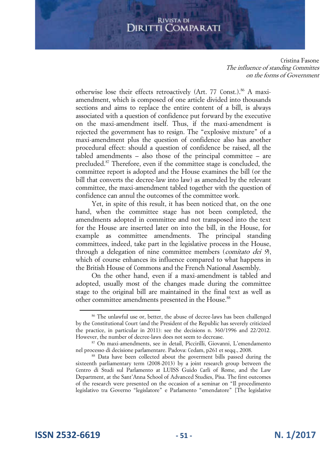Cristina Fasone The influence of standing Committes on the forms of Government

otherwise lose their effects retroactively (Art. 77 Const.).<sup>86</sup> A maxiamendment, which is composed of one article divided into thousands sections and aims to replace the entire content of a bill, is always associated with a question of confidence put forward by the executive on the maxi-amendment itself. Thus, if the maxi-amendment is rejected the government has to resign. The "explosive mixture" of a maxi-amendment plus the question of confidence also has another procedural effect: should a question of confidence be raised, all the tabled amendments – also those of the principal committee – are precluded.<sup>87</sup> Therefore, even if the committee stage is concluded, the committee report is adopted and the House examines the bill (or the bill that converts the decree-law into law) as amended by the relevant committee, the maxi-amendment tabled together with the question of confidence can annul the outcomes of the committee work.

Yet, in spite of this result, it has been noticed that, on the one hand, when the committee stage has not been completed, the amendments adopted in committee and not transposed into the text for the House are inserted later on into the bill, in the House, for example as committee amendments. The principal standing committees, indeed, take part in the legislative process in the House, through a delegation of nine committee members (comitato dei 9), which of course enhances its influence compared to what happens in the British House of Commons and the French National Assembly.

On the other hand, even if a maxi-amendment is tabled and adopted, usually most of the changes made during the committee stage to the original bill are maintained in the final text as well as other committee amendments presented in the House.<sup>88</sup>

<sup>&</sup>lt;sup>86</sup> The unlawful use or, better, the abuse of decree-laws has been challenged by the Constitutional Court (and the President of the Republic has severely criticized the practice, in particular in 2011): see the decisions n. 360/1996 and 22/2012. However, the number of decree-laws does not seem to decrease.

<sup>87</sup> On maxi-amendments, see in detail, Piccirilli, Giovanni, L'emendamento nel processo di decisione parlamentare. Padova: Cedam, p261 et seqq., 2008.

<sup>&</sup>lt;sup>88</sup> Data have been collected about the goverment bills passed during the sixteenth parliamentary term (2008-2013) by a joint research group between the Centro di Studi sul Parlamento at LUISS Guido Carli of Rome, and the Law Department, at the Sant'Anna School of Advanced Studies, Pisa. The first outcomes of the research were presented on the occasion of a seminar on "Il procedimento legislativo tra Governo "legislatore" e Parlamento "emendatore" [The legislative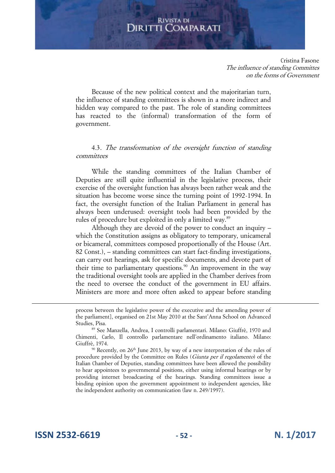Cristina Fasone The influence of standing Committes on the forms of Government

Because of the new political context and the majoritarian turn, the influence of standing committees is shown in a more indirect and hidden way compared to the past. The role of standing committees has reacted to the (informal) transformation of the form of government.

4.3. The transformation of the oversight function of standing committees

While the standing committees of the Italian Chamber of Deputies are still quite influential in the legislative process, their exercise of the oversight function has always been rather weak and the situation has become worse since the turning point of 1992-1994. In fact, the oversight function of the Italian Parliament in general has always been underused: oversight tools had been provided by the rules of procedure but exploited in only a limited way.<sup>89</sup>

Although they are devoid of the power to conduct an inquiry – which the Constitution assigns as obligatory to temporary, unicameral or bicameral, committees composed proportionally of the House (Art. 82 Const.), – standing committees can start fact-finding investigations, can carry out hearings, ask for specific documents, and devote part of their time to parliamentary questions.<sup>90</sup> An improvement in the way the traditional oversight tools are applied in the Chamber derives from the need to oversee the conduct of the government in EU affairs. Ministers are more and more often asked to appear before standing

process between the legislative power of the executive and the amending power of the parliament], organised on 21st May 2010 at the Sant'Anna School on Advanced Studies, Pisa.

 $90$  Recently, on 26<sup>th</sup> June 2013, by way of a new interpretation of the rules of procedure provided by the Committee on Rules (Giunta per il regolamento) of the Italian Chamber of Deputies, standing committees have been allowed the possibility to hear appointees to governmental positions, either using informal hearings or by providing internet broadcasting of the hearings. Standing committees issue a binding opinion upon the government appointment to independent agencies, like the independent authority on communication (law n. 249/1997).

**ISSN 2532-6619 - 52 - N. 1/2017**

 $\overline{a}$ 

<sup>89</sup> See Manzella, Andrea, I controlli parlamentari. Milano: Giuffrè, 1970 and Chimenti, Carlo, Il controllo parlamentare nell'ordinamento italiano. Milano: Giuffrè, 1974.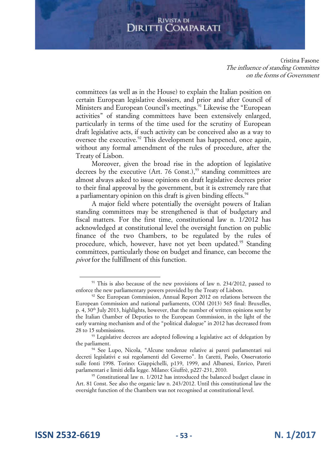Cristina Fasone The influence of standing Committes on the forms of Government

committees (as well as in the House) to explain the Italian position on certain European legislative dossiers, and prior and after Council of Ministers and European Council's meetings.<sup>91</sup> Likewise the "European activities" of standing committees have been extensively enlarged, particularly in terms of the time used for the scrutiny of European draft legislative acts, if such activity can be conceived also as a way to oversee the executive.<sup>92</sup> This development has happened, once again, without any formal amendment of the rules of procedure, after the Treaty of Lisbon.

Moreover, given the broad rise in the adoption of legislative decrees by the executive (Art. 76 Const.), $93$  standing committees are almost always asked to issue opinions on draft legislative decrees prior to their final approval by the government, but it is extremely rare that a parliamentary opinion on this draft is given binding effects.<sup>94</sup>

A major field where potentially the oversight powers of Italian standing committees may be strengthened is that of budgetary and fiscal matters. For the first time, constitutional law n. 1/2012 has acknowledged at constitutional level the oversight function on public finance of the two Chambers, to be regulated by the rules of procedure, which, however, have not yet been updated.<sup>95</sup> Standing committees, particularly those on budget and finance, can become the pivot for the fulfillment of this function.

 $91$  This is also because of the new provisions of law n. 234/2012, passed to enforce the new parliamentary powers provided by the Treaty of Lisbon.

<sup>&</sup>lt;sup>92</sup> See European Commission, Annual Report 2012 on relations between the European Commission and national parliaments, COM (2013) 565 final: Bruxelles, p. 4, 30<sup>th</sup> July 2013, highlights, however, that the number of written opinions sent by the Italian Chamber of Deputies to the European Commission, in the light of the early warning mechanism and of the "political dialogue" in 2012 has decreased from 28 to 15 submissions.

<sup>&</sup>lt;sup>93</sup> Legislative decrees are adopted following a legislative act of delegation by the parliament.

<sup>94</sup> See Lupo, Nicola, "Alcune tendenze relative ai pareri parlamentari sui decreti legislativi e sui regolamenti del Governo". In Caretti, Paolo, Osservatorio sulle fonti 1998. Torino: Giappichelli, p139, 1999, and Albanesi, Enrico, Pareri parlamentari e limiti della legge. Milano: Giuffrè, p227-231, 2010.

<sup>&</sup>lt;sup>95</sup> Constitutional law n. 1/2012 has introduced the balanced budget clause in Art. 81 Const. See also the organic law n. 243/2012. Until this constitutional law the oversight function of the Chambers was not recognised at constitutional level.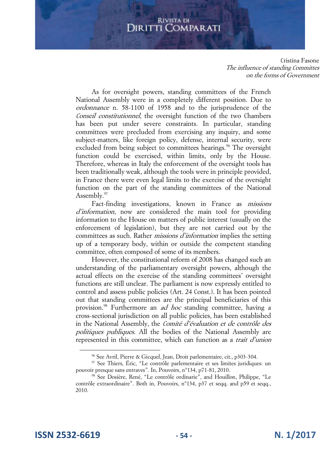Cristina Fasone The influence of standing Committes on the forms of Government

As for oversight powers, standing committees of the French National Assembly were in a completely different position. Due to ordonnance n. 58-1100 of 1958 and to the jurisprudence of the Conseil constitutionnel, the oversight function of the two Chambers has been put under severe constraints. In particular, standing committees were precluded from exercising any inquiry, and some subject-matters, like foreign policy, defense, internal security, were excluded from being subject to committees hearings.<sup>96</sup> The oversight function could be exercised, within limits, only by the House. Therefore, whereas in Italy the enforcement of the oversight tools has been traditionally weak, although the tools were in principle provided, in France there were even legal limits to the exercise of the oversight function on the part of the standing committees of the National Assembly.<sup>97</sup>

Fact-finding investigations, known in France as missions d'information, now are considered the main tool for providing information to the House on matters of public interest (usually on the enforcement of legislation), but they are not carried out by the committees as such. Rather *missions d'information* implies the setting up of a temporary body, within or outside the competent standing committee, often composed of some of its members.

However, the constitutional reform of 2008 has changed such an understanding of the parliamentary oversight powers, although the actual effects on the exercise of the standing committees' oversight functions are still unclear. The parliament is now expressly entitled to control and assess public policies (Art. 24 Const.). It has been pointed out that standing committees are the principal beneficiaries of this provision.<sup>98</sup> Furthermore an *ad hoc* standing committee, having a cross-sectional jurisdiction on all public policies, has been established in the National Assembly, the Comité d'évaluation et de contrôle des politiques publiques. All the bodies of the National Assembly are represented in this committee, which can function as a trait d'union

**ISSN 2532-6619 - 54 - N. 1/2017**

<sup>96</sup> See Avril, Pierre & Gicquel, Jean, Droit parlementaire, cit., p303-304.

<sup>97</sup> See Thiers, Éric, "Le contrôle parlementaire et ses limites juridiques: un pouvoir presque sans entraves". In, Pouvoirs, n°134, p71-81, 2010.

<sup>98</sup> See Dosière, René, "Le contrôle ordinarie", and Houillon, Philippe, "Le contrôle extraordinaire". Both in, Pouvoirs, n°134, p37 et seqq. and p59 et seqq., 2010.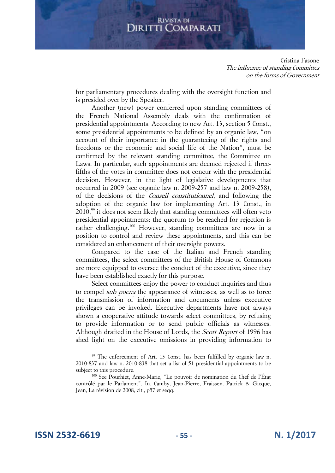Cristina Fasone The influence of standing Committes on the forms of Government

for parliamentary procedures dealing with the oversight function and is presided over by the Speaker.

Another (new) power conferred upon standing committees of the French National Assembly deals with the confirmation of presidential appointments. According to new Art. 13, section 5 Const., some presidential appointments to be defined by an organic law, "on account of their importance in the guaranteeing of the rights and freedoms or the economic and social life of the Nation", must be confirmed by the relevant standing committee, the Committee on Laws. In particular, such appointments are deemed rejected if threefifths of the votes in committee does not concur with the presidential decision. However, in the light of legislative developments that occurred in 2009 (see organic law n. 2009-257 and law n. 2009-258), of the decisions of the Conseil constitutionnel, and following the adoption of the organic law for implementing Art. 13 Const., in 2010,<sup>99</sup> it does not seem likely that standing committees will often veto presidential appointments: the quorum to be reached for rejection is rather challenging.<sup>100</sup> However, standing committees are now in a position to control and review these appointments, and this can be considered an enhancement of their oversight powers.

Compared to the case of the Italian and French standing committees, the select committees of the British House of Commons are more equipped to oversee the conduct of the executive, since they have been established exactly for this purpose.

Select committees enjoy the power to conduct inquiries and thus to compel sub poena the appearance of witnesses, as well as to force the transmission of information and documents unless executive privileges can be invoked. Executive departments have not always shown a cooperative attitude towards select committees, by refusing to provide information or to send public officials as witnesses. Although drafted in the House of Lords, the *Scott Report* of 1996 has shed light on the executive omissions in providing information to

**ISSN 2532-6619 - 55 - N. 1/2017**

<sup>99</sup> The enforcement of Art. 13 Const. has been fulfilled by organic law n. 2010-837 and law n. 2010-838 that set a list of 51 presidential appointments to be subject to this procedure.

<sup>100</sup> See Pourhiet, Anne-Marie, "Le pouvoir de nomination du Chef de l'État contrôlé par le Parlament". In, Camby, Jean-Pierre, Fraissex, Patrick & Gicque, Jean, La révision de 2008, cit., p57 et seqq.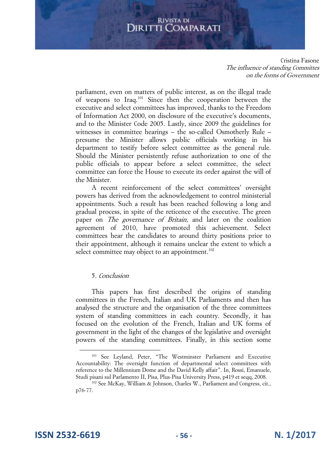Cristina Fasone The influence of standing Committes on the forms of Government

parliament, even on matters of public interest, as on the illegal trade of weapons to Iraq.<sup>101</sup> Since then the cooperation between the executive and select committees has improved, thanks to the Freedom of Information Act 2000, on disclosure of the executive's documents, and to the Minister Code 2005. Lastly, since 2009 the guidelines for witnesses in committee hearings – the so-called Osmotherly Rule – presume the Minister allows public officials working in his department to testify before select committee as the general rule. Should the Minister persistently refuse authorization to one of the public officials to appear before a select committee, the select committee can force the House to execute its order against the will of the Minister.

A recent reinforcement of the select committees' oversight powers has derived from the acknowledgement to control ministerial appointments. Such a result has been reached following a long and gradual process, in spite of the reticence of the executive. The green paper on *The governance of Britain*, and later on the coalition agreement of 2010, have promoted this achievement. Select committees hear the candidates to around thirty positions prior to their appointment, although it remains unclear the extent to which a select committee may object to an appointment.<sup>102</sup>

## 5. Conclusion

This papers has first described the origins of standing committees in the French, Italian and UK Parliaments and then has analysed the structure and the organisation of the three committees system of standing committees in each country. Secondly, it has focused on the evolution of the French, Italian and UK forms of government in the light of the changes of the legislative and oversight powers of the standing committees. Finally, in this section some

**ISSN 2532-6619 - 56 - N. 1/2017**

<sup>101</sup> See Leyland, Peter, "The Westminster Parliament and Executive Accountability: The oversight function of departmental select committees with reference to the Millennium Dome and the David Kelly affair". In, Rossi, Emanuele, Studi pisani sul Parlamento II, Pisa, Plus-Pisa University Press, p419 et seqq, 2008.

<sup>102</sup> See McKay, William & Johnson, Charles W., Parliament and Congress, cit., p76-77.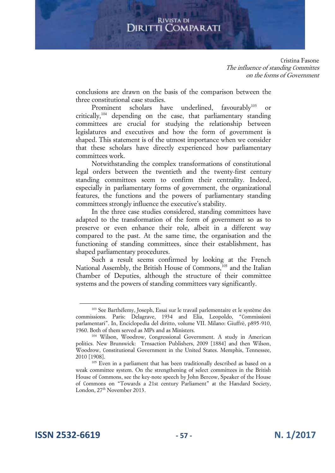Cristina Fasone The influence of standing Committes on the forms of Government

conclusions are drawn on the basis of the comparison between the three constitutional case studies.

Prominent scholars have underlined, favourably<sup>103</sup> or critically,<sup>104</sup> depending on the case, that parliamentary standing committees are crucial for studying the relationship between legislatures and executives and how the form of government is shaped. This statement is of the utmost importance when we consider that these scholars have directly experienced how parliamentary committees work.

Notwithstanding the complex transformations of constitutional legal orders between the twentieth and the twenty-first century standing committees seem to confirm their centrality. Indeed, especially in parliamentary forms of government, the organizational features, the functions and the powers of parliamentary standing committees strongly influence the executive's stability.

In the three case studies considered, standing committees have adapted to the transformation of the form of government so as to preserve or even enhance their role, albeit in a different way compared to the past. At the same time, the organisation and the functioning of standing committees, since their establishment, has shaped parliamentary procedures.

Such a result seems confirmed by looking at the French National Assembly, the British House of Commons,<sup>105</sup> and the Italian Chamber of Deputies, although the structure of their committee systems and the powers of standing committees vary significantly.

**ISSN 2532-6619 - 57 - N. 1/2017**

<sup>&</sup>lt;sup>103</sup> See Barthélemy, Joseph, Essai sur le travail parlementaire et le système des commissions. Paris: Delagrave, 1934 and Elia, Leopoldo, "Commissioni parlamentari". In, Enciclopedia del diritto, volume VII. Milano: Giuffrè, p895-910, 1960. Both of them served as MPs and as Ministers.

<sup>104</sup> Wilson, Woodrow, Congressional Government. A study in American politics. New Brunswick: Trnsaction Publishers, 2009 [1884] and then Wilson, Woodrow, Constitutional Government in the United States. Memphis, Tennessee, 2010 [1908].

<sup>&</sup>lt;sup>105</sup> Even in a parliament that has been traditionally described as based on a weak committee system. On the strengthening of select committees in the British House of Commons, see the key-note speech by John Bercow, Speaker of the House of Commons on "Towards a 21st century Parliament" at the Handard Society, London, 27<sup>th</sup> November 2013.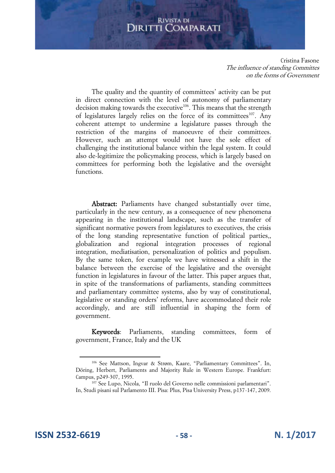Cristina Fasone The influence of standing Committes on the forms of Government

The quality and the quantity of committees' activity can be put in direct connection with the level of autonomy of parliamentary decision making towards the executive<sup>106</sup>. This means that the strength of legislatures largely relies on the force of its committees<sup>107</sup>. Any coherent attempt to undermine a legislature passes through the restriction of the margins of manoeuvre of their committees. However, such an attempt would not have the sole effect of challenging the institutional balance within the legal system. It could also de-legitimize the policymaking process, which is largely based on committees for performing both the legislative and the oversight functions.

Abstract: Parliaments have changed substantially over time, particularly in the new century, as a consequence of new phenomena appearing in the institutional landscape, such as the transfer of significant normative powers from legislatures to executives, the crisis of the long standing representative function of political parties,, globalization and regional integration processes of regional integration, mediatisation, personalization of politics and populism. By the same token, for example we have witnessed a shift in the balance between the exercise of the legislative and the oversight function in legislatures in favour of the latter. This paper argues that, in spite of the transformations of parliaments, standing committees and parliamentary committee systems, also by way of constitutional, legislative or standing orders' reforms, have accommodated their role accordingly, and are still influential in shaping the form of government.

Keywords: Parliaments, standing committees, form of government, France, Italy and the UK

**ISSN 2532-6619 - 58 - N. 1/2017**

<sup>106</sup> See Mattson, Ingvar & Strøm, Kaare, "Parliamentary Committees". In, Döring, Herbert, Parliaments and Majority Rule in Western Europe. Frankfurt: Campus, p249-307, 1995.

<sup>107</sup> See Lupo, Nicola, "Il ruolo del Governo nelle commissioni parlamentari". In, Studi pisani sul Parlamento III. Pisa: Plus, Pisa University Press, p137-147, 2009.